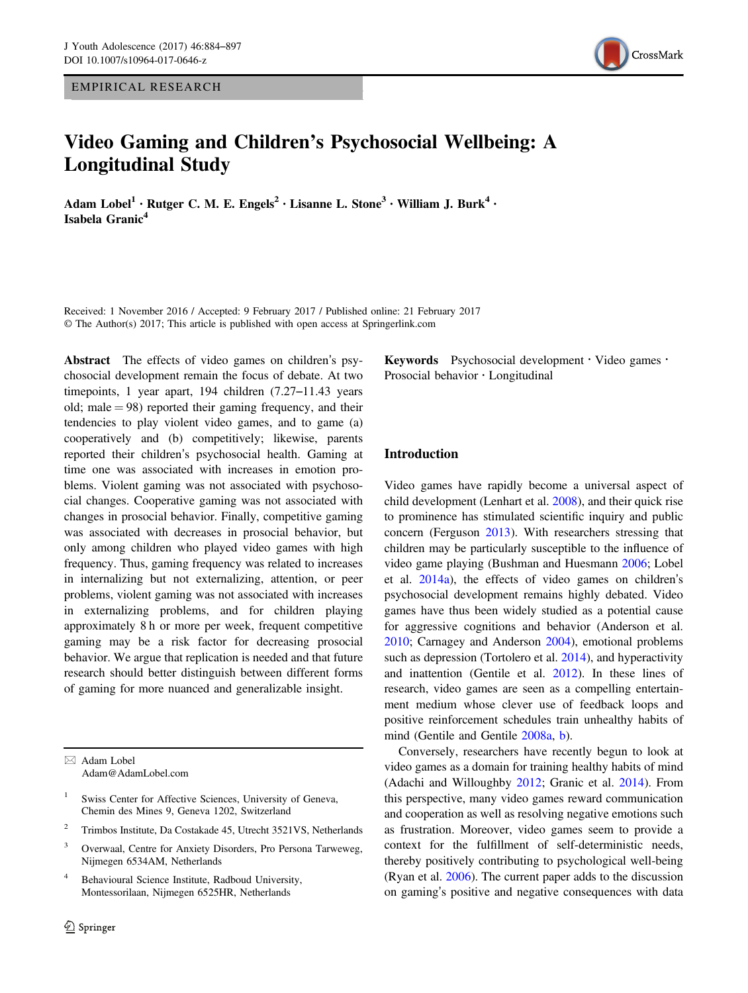EMPIRICAL RESEARCH

# CrossMark

# Video Gaming and Children's Psychosocial Wellbeing: A Longitudinal Study

Adam Lobel<sup>1</sup> • Rutger C. M. E. Engels<sup>2</sup> • Lisanne L. Stone<sup>3</sup> • William J. Burk<sup>4</sup> • Isabela Granic<sup>4</sup>

Received: 1 November 2016 / Accepted: 9 February 2017 / Published online: 21 February 2017 © The Author(s) 2017; This article is published with open access at Springerlink.com

Abstract The effects of video games on children's psychosocial development remain the focus of debate. At two timepoints, 1 year apart, 194 children (7.27–11.43 years old; male  $= 98$ ) reported their gaming frequency, and their tendencies to play violent video games, and to game (a) cooperatively and (b) competitively; likewise, parents reported their children's psychosocial health. Gaming at time one was associated with increases in emotion problems. Violent gaming was not associated with psychosocial changes. Cooperative gaming was not associated with changes in prosocial behavior. Finally, competitive gaming was associated with decreases in prosocial behavior, but only among children who played video games with high frequency. Thus, gaming frequency was related to increases in internalizing but not externalizing, attention, or peer problems, violent gaming was not associated with increases in externalizing problems, and for children playing approximately 8 h or more per week, frequent competitive gaming may be a risk factor for decreasing prosocial behavior. We argue that replication is needed and that future research should better distinguish between different forms of gaming for more nuanced and generalizable insight.

 $\boxtimes$  Adam Lobel [Adam@AdamLobel.com](mailto:Adam@AdamLobel.com)

- <sup>1</sup> Swiss Center for Affective Sciences, University of Geneva, Chemin des Mines 9, Geneva 1202, Switzerland
- <sup>2</sup> Trimbos Institute, Da Costakade 45, Utrecht 3521VS, Netherlands
- <sup>3</sup> Overwaal, Centre for Anxiety Disorders, Pro Persona Tarweweg, Nijmegen 6534AM, Netherlands
- <sup>4</sup> Behavioural Science Institute, Radboud University, Montessorilaan, Nijmegen 6525HR, Netherlands

Keywords Psychosocial development · Video games · Prosocial behavior · Longitudinal

# Introduction

Video games have rapidly become a universal aspect of child development (Lenhart et al. [2008](#page-12-0)), and their quick rise to prominence has stimulated scientific inquiry and public concern (Ferguson [2013\)](#page-12-0). With researchers stressing that children may be particularly susceptible to the influence of video game playing (Bushman and Huesmann [2006](#page-11-0); Lobel et al. [2014a](#page-12-0)), the effects of video games on children's psychosocial development remains highly debated. Video games have thus been widely studied as a potential cause for aggressive cognitions and behavior (Anderson et al. [2010](#page-11-0); Carnagey and Anderson [2004\)](#page-11-0), emotional problems such as depression (Tortolero et al. [2014](#page-13-0)), and hyperactivity and inattention (Gentile et al. [2012](#page-12-0)). In these lines of research, video games are seen as a compelling entertainment medium whose clever use of feedback loops and positive reinforcement schedules train unhealthy habits of mind (Gentile and Gentile [2008a,](#page-12-0) [b\)](#page-12-0).

Conversely, researchers have recently begun to look at video games as a domain for training healthy habits of mind (Adachi and Willoughby [2012](#page-11-0); Granic et al. [2014](#page-12-0)). From this perspective, many video games reward communication and cooperation as well as resolving negative emotions such as frustration. Moreover, video games seem to provide a context for the fulfillment of self-deterministic needs, thereby positively contributing to psychological well-being (Ryan et al. [2006](#page-13-0)). The current paper adds to the discussion on gaming's positive and negative consequences with data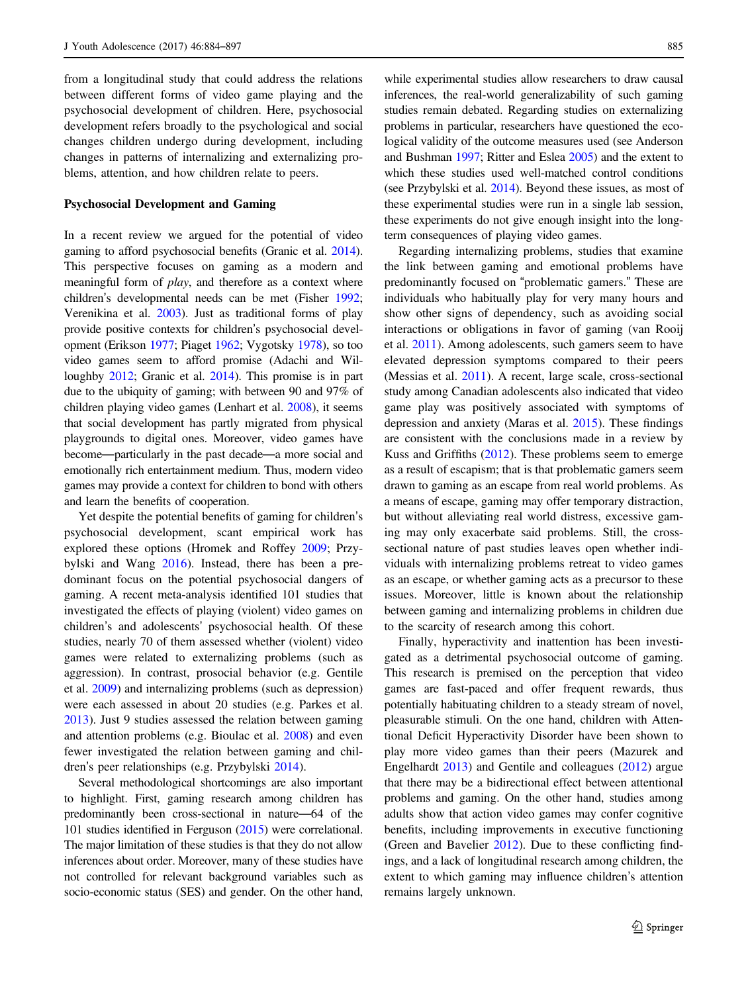from a longitudinal study that could address the relations between different forms of video game playing and the psychosocial development of children. Here, psychosocial development refers broadly to the psychological and social changes children undergo during development, including changes in patterns of internalizing and externalizing problems, attention, and how children relate to peers.

#### Psychosocial Development and Gaming

In a recent review we argued for the potential of video gaming to afford psychosocial benefits (Granic et al. [2014\)](#page-12-0). This perspective focuses on gaming as a modern and meaningful form of play, and therefore as a context where children's developmental needs can be met (Fisher [1992](#page-12-0); Verenikina et al. [2003](#page-13-0)). Just as traditional forms of play provide positive contexts for children's psychosocial development (Erikson [1977;](#page-12-0) Piaget [1962;](#page-12-0) Vygotsky [1978\)](#page-13-0), so too video games seem to afford promise (Adachi and Wil-loughby [2012](#page-11-0); Granic et al. [2014\)](#page-12-0). This promise is in part due to the ubiquity of gaming; with between 90 and 97% of children playing video games (Lenhart et al. [2008](#page-12-0)), it seems that social development has partly migrated from physical playgrounds to digital ones. Moreover, video games have become—particularly in the past decade—a more social and emotionally rich entertainment medium. Thus, modern video games may provide a context for children to bond with others and learn the benefits of cooperation.

Yet despite the potential benefits of gaming for children's psychosocial development, scant empirical work has explored these options (Hromek and Roffey [2009](#page-12-0); Przybylski and Wang [2016](#page-12-0)). Instead, there has been a predominant focus on the potential psychosocial dangers of gaming. A recent meta-analysis identified 101 studies that investigated the effects of playing (violent) video games on children's and adolescents' psychosocial health. Of these studies, nearly 70 of them assessed whether (violent) video games were related to externalizing problems (such as aggression). In contrast, prosocial behavior (e.g. Gentile et al. [2009](#page-12-0)) and internalizing problems (such as depression) were each assessed in about 20 studies (e.g. Parkes et al. [2013\)](#page-12-0). Just 9 studies assessed the relation between gaming and attention problems (e.g. Bioulac et al. [2008\)](#page-11-0) and even fewer investigated the relation between gaming and children's peer relationships (e.g. Przybylski [2014](#page-12-0)).

Several methodological shortcomings are also important to highlight. First, gaming research among children has predominantly been cross-sectional in nature—64 of the 101 studies identified in Ferguson ([2015](#page-12-0)) were correlational. The major limitation of these studies is that they do not allow inferences about order. Moreover, many of these studies have not controlled for relevant background variables such as socio-economic status (SES) and gender. On the other hand,

while experimental studies allow researchers to draw causal inferences, the real-world generalizability of such gaming studies remain debated. Regarding studies on externalizing problems in particular, researchers have questioned the ecological validity of the outcome measures used (see Anderson and Bushman [1997](#page-11-0); Ritter and Eslea [2005\)](#page-13-0) and the extent to which these studies used well-matched control conditions (see Przybylski et al. [2014](#page-12-0)). Beyond these issues, as most of these experimental studies were run in a single lab session, these experiments do not give enough insight into the longterm consequences of playing video games.

Regarding internalizing problems, studies that examine the link between gaming and emotional problems have predominantly focused on "problematic gamers." These are individuals who habitually play for very many hours and show other signs of dependency, such as avoiding social interactions or obligations in favor of gaming (van Rooij et al. [2011](#page-13-0)). Among adolescents, such gamers seem to have elevated depression symptoms compared to their peers (Messias et al. [2011\)](#page-12-0). A recent, large scale, cross-sectional study among Canadian adolescents also indicated that video game play was positively associated with symptoms of depression and anxiety (Maras et al. [2015](#page-12-0)). These findings are consistent with the conclusions made in a review by Kuss and Griffiths ([2012\)](#page-12-0). These problems seem to emerge as a result of escapism; that is that problematic gamers seem drawn to gaming as an escape from real world problems. As a means of escape, gaming may offer temporary distraction, but without alleviating real world distress, excessive gaming may only exacerbate said problems. Still, the crosssectional nature of past studies leaves open whether individuals with internalizing problems retreat to video games as an escape, or whether gaming acts as a precursor to these issues. Moreover, little is known about the relationship between gaming and internalizing problems in children due to the scarcity of research among this cohort.

Finally, hyperactivity and inattention has been investigated as a detrimental psychosocial outcome of gaming. This research is premised on the perception that video games are fast-paced and offer frequent rewards, thus potentially habituating children to a steady stream of novel, pleasurable stimuli. On the one hand, children with Attentional Deficit Hyperactivity Disorder have been shown to play more video games than their peers (Mazurek and Engelhardt [2013\)](#page-12-0) and Gentile and colleagues ([2012\)](#page-12-0) argue that there may be a bidirectional effect between attentional problems and gaming. On the other hand, studies among adults show that action video games may confer cognitive benefits, including improvements in executive functioning (Green and Bavelier [2012](#page-12-0)). Due to these conflicting findings, and a lack of longitudinal research among children, the extent to which gaming may influence children's attention remains largely unknown.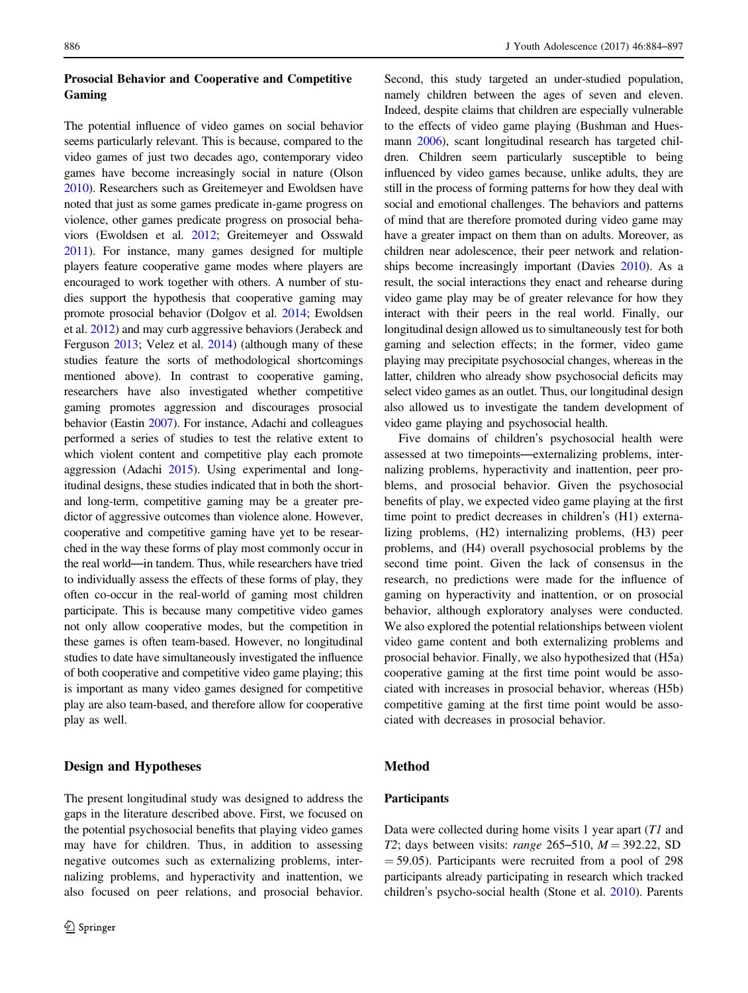# Prosocial Behavior and Cooperative and Competitive Gaming

The potential influence of video games on social behavior seems particularly relevant. This is because, compared to the video games of just two decades ago, contemporary video games have become increasingly social in nature (Olson [2010\)](#page-12-0). Researchers such as Greitemeyer and Ewoldsen have noted that just as some games predicate in-game progress on violence, other games predicate progress on prosocial behaviors (Ewoldsen et al. [2012](#page-12-0); Greitemeyer and Osswald [2011\)](#page-12-0). For instance, many games designed for multiple players feature cooperative game modes where players are encouraged to work together with others. A number of studies support the hypothesis that cooperative gaming may promote prosocial behavior (Dolgov et al. [2014](#page-11-0); Ewoldsen et al. [2012\)](#page-12-0) and may curb aggressive behaviors (Jerabeck and Ferguson [2013](#page-12-0); Velez et al. [2014](#page-13-0)) (although many of these studies feature the sorts of methodological shortcomings mentioned above). In contrast to cooperative gaming, researchers have also investigated whether competitive gaming promotes aggression and discourages prosocial behavior (Eastin [2007\)](#page-12-0). For instance, Adachi and colleagues performed a series of studies to test the relative extent to which violent content and competitive play each promote aggression (Adachi [2015\)](#page-11-0). Using experimental and longitudinal designs, these studies indicated that in both the shortand long-term, competitive gaming may be a greater predictor of aggressive outcomes than violence alone. However, cooperative and competitive gaming have yet to be researched in the way these forms of play most commonly occur in the real world—in tandem. Thus, while researchers have tried to individually assess the effects of these forms of play, they often co-occur in the real-world of gaming most children participate. This is because many competitive video games not only allow cooperative modes, but the competition in these games is often team-based. However, no longitudinal studies to date have simultaneously investigated the influence of both cooperative and competitive video game playing; this is important as many video games designed for competitive play are also team-based, and therefore allow for cooperative play as well.

The present longitudinal study was designed to address the gaps in the literature described above. First, we focused on the potential psychosocial benefits that playing video games may have for children. Thus, in addition to assessing negative outcomes such as externalizing problems, internalizing problems, and hyperactivity and inattention, we also focused on peer relations, and prosocial behavior.

#### Design and Hypotheses

Second, this study targeted an under-studied population, namely children between the ages of seven and eleven. Indeed, despite claims that children are especially vulnerable to the effects of video game playing (Bushman and Huesmann [2006\)](#page-11-0), scant longitudinal research has targeted children. Children seem particularly susceptible to being influenced by video games because, unlike adults, they are still in the process of forming patterns for how they deal with social and emotional challenges. The behaviors and patterns of mind that are therefore promoted during video game may have a greater impact on them than on adults. Moreover, as children near adolescence, their peer network and relationships become increasingly important (Davies [2010](#page-11-0)). As a result, the social interactions they enact and rehearse during video game play may be of greater relevance for how they interact with their peers in the real world. Finally, our longitudinal design allowed us to simultaneously test for both gaming and selection effects; in the former, video game playing may precipitate psychosocial changes, whereas in the latter, children who already show psychosocial deficits may select video games as an outlet. Thus, our longitudinal design also allowed us to investigate the tandem development of video game playing and psychosocial health.

Five domains of children's psychosocial health were assessed at two timepoints—externalizing problems, internalizing problems, hyperactivity and inattention, peer problems, and prosocial behavior. Given the psychosocial benefits of play, we expected video game playing at the first time point to predict decreases in children's (H1) externalizing problems, (H2) internalizing problems, (H3) peer problems, and (H4) overall psychosocial problems by the second time point. Given the lack of consensus in the research, no predictions were made for the influence of gaming on hyperactivity and inattention, or on prosocial behavior, although exploratory analyses were conducted. We also explored the potential relationships between violent video game content and both externalizing problems and prosocial behavior. Finally, we also hypothesized that (H5a) cooperative gaming at the first time point would be associated with increases in prosocial behavior, whereas (H5b) competitive gaming at the first time point would be associated with decreases in prosocial behavior.

# Method

#### Participants

Data were collected during home visits 1 year apart (T1 and T2; days between visits: range 265–510,  $M = 392.22$ , SD  $= 59.05$ ). Participants were recruited from a pool of 298 participants already participating in research which tracked children's psycho-social health (Stone et al. [2010](#page-13-0)). Parents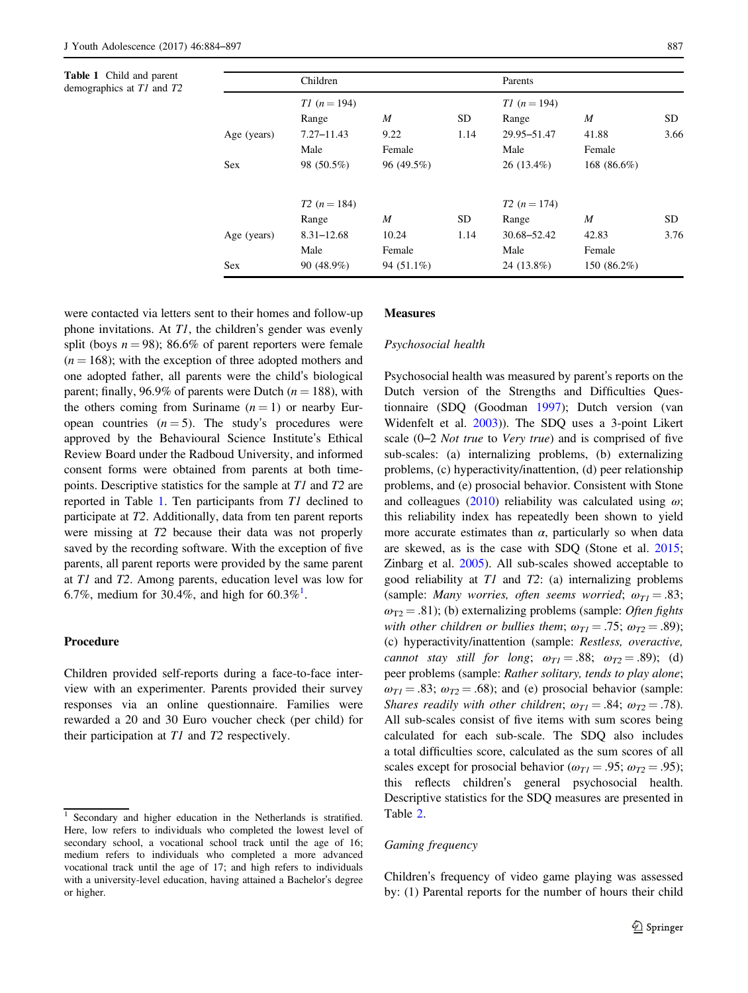Table 1 Child and parent demographics at  $T1$  and  $T2$ 

|             | Children       |            |           | Parents        |                |           |
|-------------|----------------|------------|-----------|----------------|----------------|-----------|
|             | $T1 (n = 194)$ |            |           | $T1 (n = 194)$ |                |           |
|             | Range          | M          | <b>SD</b> | Range          | M              | <b>SD</b> |
| Age (years) | $7.27 - 11.43$ | 9.22       | 1.14      | 29.95-51.47    | 41.88          | 3.66      |
|             | Male           | Female     |           | Male           | Female         |           |
| <b>Sex</b>  | 98 (50.5%)     | 96 (49.5%) |           | $26(13.4\%)$   | 168 $(86.6\%)$ |           |
|             | $T2(n=184)$    |            |           | $T2(n=174)$    |                |           |
|             | Range          | M          | <b>SD</b> | Range          | M              | <b>SD</b> |
| Age (years) | $8.31 - 12.68$ | 10.24      | 1.14      | 30.68-52.42    | 42.83          | 3.76      |
|             | Male           | Female     |           | Male           | Female         |           |
| <b>Sex</b>  | 90 (48.9%)     | 94 (51.1%) |           | 24 (13.8%)     | 150 (86.2%)    |           |

were contacted via letters sent to their homes and follow-up phone invitations. At T1, the children's gender was evenly split (boys  $n = 98$ ); 86.6% of parent reporters were female  $(n = 168)$ ; with the exception of three adopted mothers and one adopted father, all parents were the child's biological parent; finally, 96.9% of parents were Dutch ( $n = 188$ ), with the others coming from Suriname  $(n = 1)$  or nearby European countries  $(n = 5)$ . The study's procedures were approved by the Behavioural Science Institute's Ethical Review Board under the Radboud University, and informed consent forms were obtained from parents at both timepoints. Descriptive statistics for the sample at T1 and T2 are reported in Table 1. Ten participants from T1 declined to participate at T2. Additionally, data from ten parent reports were missing at T2 because their data was not properly saved by the recording software. With the exception of five parents, all parent reports were provided by the same parent at T1 and T2. Among parents, education level was low for 6.7%, medium for 30.4%, and high for  $60.3\%$ <sup>1</sup>.

## Procedure

Children provided self-reports during a face-to-face interview with an experimenter. Parents provided their survey responses via an online questionnaire. Families were rewarded a 20 and 30 Euro voucher check (per child) for their participation at T1 and T2 respectively.

#### Measures

#### Psychosocial health

Psychosocial health was measured by parent's reports on the Dutch version of the Strengths and Difficulties Questionnaire (SDQ (Goodman [1997](#page-12-0)); Dutch version (van Widenfelt et al. [2003\)](#page-13-0)). The SDQ uses a 3-point Likert scale (0–2 Not true to Very true) and is comprised of five sub-scales: (a) internalizing problems, (b) externalizing problems, (c) hyperactivity/inattention, (d) peer relationship problems, and (e) prosocial behavior. Consistent with Stone and colleagues [\(2010](#page-13-0)) reliability was calculated using  $\omega$ ; this reliability index has repeatedly been shown to yield more accurate estimates than  $\alpha$ , particularly so when data are skewed, as is the case with SDQ (Stone et al. [2015;](#page-13-0) Zinbarg et al. [2005\)](#page-13-0). All sub-scales showed acceptable to good reliability at T1 and T2: (a) internalizing problems (sample: Many worries, often seems worried;  $\omega_{T1} = .83$ ;  $\omega_{T2} = .81$ ); (b) externalizing problems (sample: *Often fights* with other children or bullies them;  $\omega_{T1} = .75$ ;  $\omega_{T2} = .89$ ); (c) hyperactivity/inattention (sample: Restless, overactive, cannot stay still for long;  $\omega_{T1} = .88$ ;  $\omega_{T2} = .89$ ); (d) peer problems (sample: Rather solitary, tends to play alone;  $\omega_{T1} = .83$ ;  $\omega_{T2} = .68$ ); and (e) prosocial behavior (sample: Shares readily with other children;  $\omega_{T1} = .84$ ;  $\omega_{T2} = .78$ ). All sub-scales consist of five items with sum scores being calculated for each sub-scale. The SDQ also includes a total difficulties score, calculated as the sum scores of all scales except for prosocial behavior ( $\omega_{T1} = .95$ ;  $\omega_{T2} = .95$ ); this reflects children's general psychosocial health. Descriptive statistics for the SDQ measures are presented in Table [2.](#page-4-0)

#### Gaming frequency

Children's frequency of video game playing was assessed by: (1) Parental reports for the number of hours their child

 $\frac{1}{1}$  Secondary and higher education in the Netherlands is stratified. Here, low refers to individuals who completed the lowest level of secondary school, a vocational school track until the age of 16; medium refers to individuals who completed a more advanced vocational track until the age of 17; and high refers to individuals with a university-level education, having attained a Bachelor's degree or higher.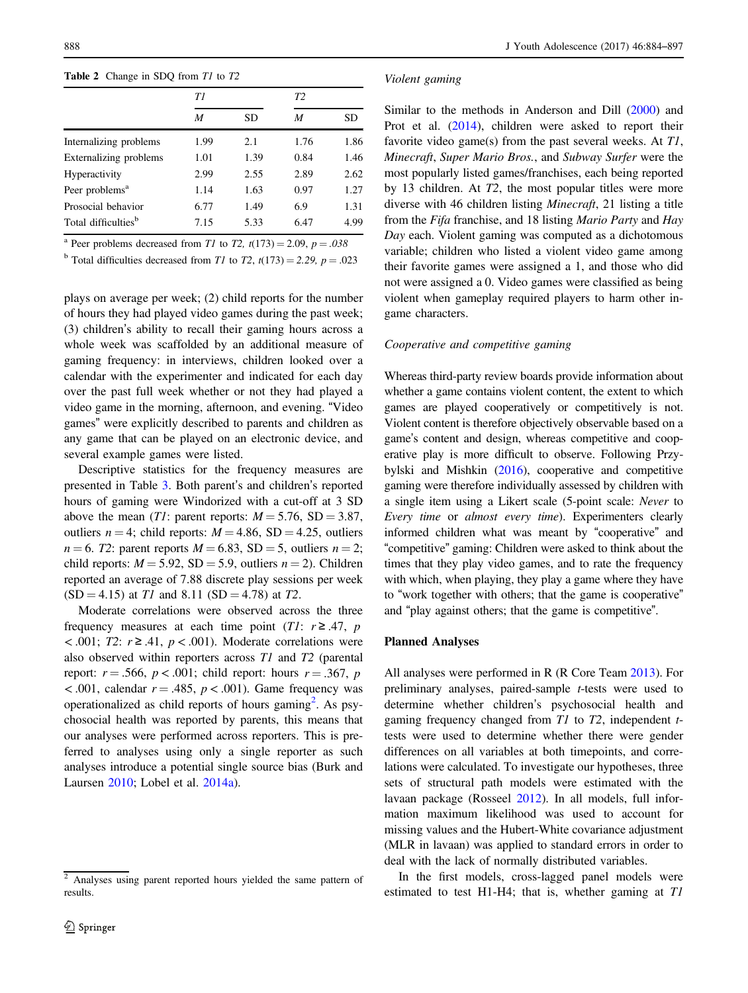#### <span id="page-4-0"></span>Table 2 Change in SDQ from T1 to T2

|                                 | TΙ   |           | T2   |      |
|---------------------------------|------|-----------|------|------|
|                                 | M    | <b>SD</b> | M    | SD   |
| Internalizing problems          | 1.99 | 2.1       | 1.76 | 1.86 |
| Externalizing problems          | 1.01 | 1.39      | 0.84 | 1.46 |
| Hyperactivity                   | 2.99 | 2.55      | 2.89 | 2.62 |
| Peer problems <sup>a</sup>      | 1.14 | 1.63      | 0.97 | 1.27 |
| Prosocial behavior              | 6.77 | 1.49      | 6.9  | 1.31 |
| Total difficulties <sup>b</sup> | 7.15 | 5.33      | 6.47 | 4.99 |

<sup>a</sup> Peer problems decreased from T1 to T2,  $t(173) = 2.09$ ,  $p = .038$ 

<sup>b</sup> Total difficulties decreased from T1 to T2,  $t(173) = 2.29$ ,  $p = .023$ 

plays on average per week; (2) child reports for the number of hours they had played video games during the past week; (3) children's ability to recall their gaming hours across a whole week was scaffolded by an additional measure of gaming frequency: in interviews, children looked over a calendar with the experimenter and indicated for each day over the past full week whether or not they had played a video game in the morning, afternoon, and evening. "Video games" were explicitly described to parents and children as any game that can be played on an electronic device, and several example games were listed.

Descriptive statistics for the frequency measures are presented in Table [3](#page-5-0). Both parent's and children's reported hours of gaming were Windorized with a cut-off at 3 SD above the mean (T1: parent reports:  $M = 5.76$ , SD = 3.87, outliers  $n = 4$ ; child reports:  $M = 4.86$ , SD = 4.25, outliers  $n = 6$ . T2: parent reports  $M = 6.83$ , SD = 5, outliers  $n = 2$ ; child reports:  $M = 5.92$ , SD = 5.9, outliers  $n = 2$ ). Children reported an average of 7.88 discrete play sessions per week  $(SD = 4.15)$  at T1 and 8.11  $(SD = 4.78)$  at T2.

Moderate correlations were observed across the three frequency measures at each time point (T1:  $r \ge 0.47$ , p < .001; T2:  $r$  ≥ .41,  $p$  < .001). Moderate correlations were also observed within reporters across T1 and T2 (parental report:  $r = .566$ ,  $p < .001$ ; child report: hours  $r = .367$ , p  $\lt$ .001, calendar  $r = .485$ ,  $p < .001$ ). Game frequency was operationalized as child reports of hours gaming<sup>2</sup>. As psychosocial health was reported by parents, this means that our analyses were performed across reporters. This is preferred to analyses using only a single reporter as such analyses introduce a potential single source bias (Burk and Laursen [2010](#page-11-0); Lobel et al. [2014a](#page-12-0)).

#### Violent gaming

Similar to the methods in Anderson and Dill [\(2000](#page-11-0)) and Prot et al. [\(2014](#page-12-0)), children were asked to report their favorite video game(s) from the past several weeks. At T1, Minecraft, Super Mario Bros., and Subway Surfer were the most popularly listed games/franchises, each being reported by 13 children. At T2, the most popular titles were more diverse with 46 children listing Minecraft, 21 listing a title from the Fifa franchise, and 18 listing Mario Party and Hay Day each. Violent gaming was computed as a dichotomous variable; children who listed a violent video game among their favorite games were assigned a 1, and those who did not were assigned a 0. Video games were classified as being violent when gameplay required players to harm other ingame characters.

#### Cooperative and competitive gaming

Whereas third-party review boards provide information about whether a game contains violent content, the extent to which games are played cooperatively or competitively is not. Violent content is therefore objectively observable based on a game's content and design, whereas competitive and cooperative play is more difficult to observe. Following Przybylski and Mishkin ([2016\)](#page-12-0), cooperative and competitive gaming were therefore individually assessed by children with a single item using a Likert scale (5-point scale: Never to Every time or almost every time). Experimenters clearly informed children what was meant by "cooperative" and "competitive" gaming: Children were asked to think about the times that they play video games, and to rate the frequency with which, when playing, they play a game where they have to "work together with others; that the game is cooperative" and "play against others; that the game is competitive".

#### Planned Analyses

All analyses were performed in R (R Core Team [2013](#page-12-0)). For preliminary analyses, paired-sample t-tests were used to determine whether children's psychosocial health and gaming frequency changed from  $T1$  to  $T2$ , independent  $t$ tests were used to determine whether there were gender differences on all variables at both timepoints, and correlations were calculated. To investigate our hypotheses, three sets of structural path models were estimated with the lavaan package (Rosseel [2012](#page-13-0)). In all models, full information maximum likelihood was used to account for missing values and the Hubert-White covariance adjustment (MLR in lavaan) was applied to standard errors in order to deal with the lack of normally distributed variables.

In the first models, cross-lagged panel models were estimated to test H1-H4; that is, whether gaming at T1

 $2$  Analyses using parent reported hours yielded the same pattern of results.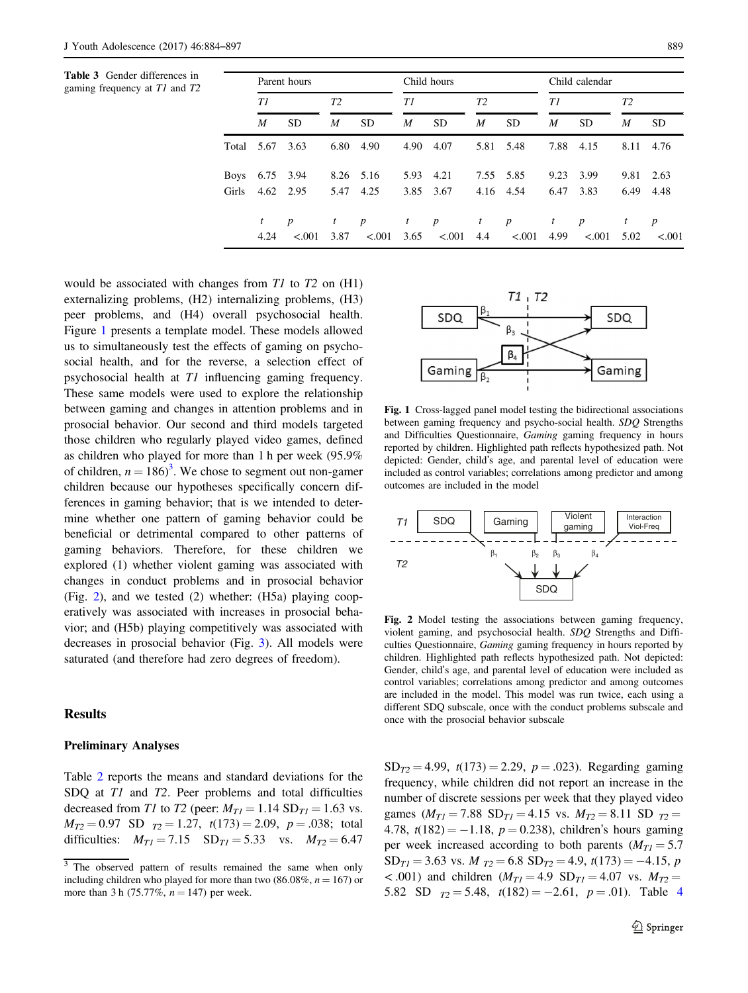<span id="page-5-0"></span>Table 3 Gender differences in gaming frequency at  $T1$  and  $T2$ 

|             |                          | Parent hours               |                        |                             |                          | Child hours                |                       |                             |                          | Child calendar              |                          |                             |
|-------------|--------------------------|----------------------------|------------------------|-----------------------------|--------------------------|----------------------------|-----------------------|-----------------------------|--------------------------|-----------------------------|--------------------------|-----------------------------|
|             | T1                       |                            | T2                     |                             | T1                       |                            | T2                    |                             | T1                       |                             | T <sub>2</sub>           |                             |
|             | $\boldsymbol{M}$         | <b>SD</b>                  | M                      | <b>SD</b>                   | M                        | <b>SD</b>                  | M                     | <b>SD</b>                   | M                        | <b>SD</b>                   | M                        | <b>SD</b>                   |
| Total       | 5.67                     | 3.63                       | 6.80                   | 4.90                        | 4.90                     | 4.07                       | 5.81                  | 5.48                        | 7.88                     | 4.15                        | 8.11                     | 4.76                        |
| <b>Boys</b> | 6.75                     | 3.94                       |                        | 8.26 5.16                   | 5.93                     | 4.21                       | 7.55                  | 5.85                        | 9.23                     | 3.99                        | 9.81                     | 2.63                        |
| Girls       | 4.62 2.95                |                            | 5.47                   | 4.25                        | 3.85 3.67                |                            | 4.16 4.54             |                             | 6.47                     | 3.83                        | 6.49                     | 4.48                        |
|             | $\boldsymbol{t}$<br>4.24 | $\boldsymbol{p}$<br>< 0.01 | $\mathfrak{t}$<br>3.87 | $\boldsymbol{p}$<br>< 0.001 | $\boldsymbol{t}$<br>3.65 | $\boldsymbol{p}$<br>< .001 | $\mathfrak{t}$<br>4.4 | $\boldsymbol{p}$<br>< 0.001 | $\boldsymbol{t}$<br>4.99 | $\boldsymbol{p}$<br>< 0.001 | $\boldsymbol{t}$<br>5.02 | $\boldsymbol{p}$<br>< 0.001 |

would be associated with changes from  $T1$  to  $T2$  on  $(H1)$ externalizing problems, (H2) internalizing problems, (H3) peer problems, and (H4) overall psychosocial health. Figure 1 presents a template model. These models allowed us to simultaneously test the effects of gaming on psychosocial health, and for the reverse, a selection effect of psychosocial health at T1 influencing gaming frequency. These same models were used to explore the relationship between gaming and changes in attention problems and in prosocial behavior. Our second and third models targeted those children who regularly played video games, defined as children who played for more than 1 h per week (95.9% of children,  $n = 186$ <sup>3</sup>. We chose to segment out non-gamer children because our hypotheses specifically concern differences in gaming behavior; that is we intended to determine whether one pattern of gaming behavior could be beneficial or detrimental compared to other patterns of gaming behaviors. Therefore, for these children we explored (1) whether violent gaming was associated with changes in conduct problems and in prosocial behavior (Fig. 2), and we tested (2) whether: (H5a) playing cooperatively was associated with increases in prosocial behavior; and (H5b) playing competitively was associated with decreases in prosocial behavior (Fig. [3](#page-6-0)). All models were saturated (and therefore had zero degrees of freedom).

# Results

# Preliminary Analyses

Table [2](#page-4-0) reports the means and standard deviations for the SDQ at T1 and T2. Peer problems and total difficulties decreased from T1 to T2 (peer:  $M_{TI} = 1.14$  SD<sub>T1</sub> = 1.63 vs.  $M_{T2} = 0.97$  SD  $_{T2} = 1.27$ ,  $t(173) = 2.09$ ,  $p = .038$ ; total difficulties:  $M_{T1} = 7.15$  SD<sub>T1</sub> = 5.33 vs.  $M_{T2} = 6.47$ 



Fig. 1 Cross-lagged panel model testing the bidirectional associations between gaming frequency and psycho-social health. SDQ Strengths and Difficulties Questionnaire, Gaming gaming frequency in hours reported by children. Highlighted path reflects hypothesized path. Not depicted: Gender, child's age, and parental level of education were included as control variables; correlations among predictor and among outcomes are included in the model



Fig. 2 Model testing the associations between gaming frequency, violent gaming, and psychosocial health. SDQ Strengths and Difficulties Questionnaire, Gaming gaming frequency in hours reported by children. Highlighted path reflects hypothesized path. Not depicted: Gender, child's age, and parental level of education were included as control variables; correlations among predictor and among outcomes are included in the model. This model was run twice, each using a different SDQ subscale, once with the conduct problems subscale and once with the prosocial behavior subscale

 $SD_{T2} = 4.99$ ,  $t(173) = 2.29$ ,  $p = .023$ ). Regarding gaming frequency, while children did not report an increase in the number of discrete sessions per week that they played video games ( $M_{T1} = 7.88$  SD<sub>T1</sub> = 4.15 vs.  $M_{T2} = 8.11$  SD  $_{T2} =$ 4.78,  $t(182) = -1.18$ ,  $p = 0.238$ ), children's hours gaming per week increased according to both parents ( $M_{T1} = 5.7$  $SD_{T1} = 3.63$  vs.  $M_{T2} = 6.8$   $SD_{T2} = 4.9$ ,  $t(173) = -4.15$ ,  $p$ <.001) and children  $(M_{TI} = 4.9 \text{ SD}_{TI} = 4.07 \text{ vs. } M_{T2} =$ 5.82 SD  $_{T2} = 5.48$  $_{T2} = 5.48$  $_{T2} = 5.48$ ,  $t(182) = -2.61$ ,  $p = .01$ ). Table 4

<sup>&</sup>lt;sup>3</sup> The observed pattern of results remained the same when only including children who played for more than two  $(86.08\%, n = 167)$  or more than 3 h (75.77%,  $n = 147$ ) per week.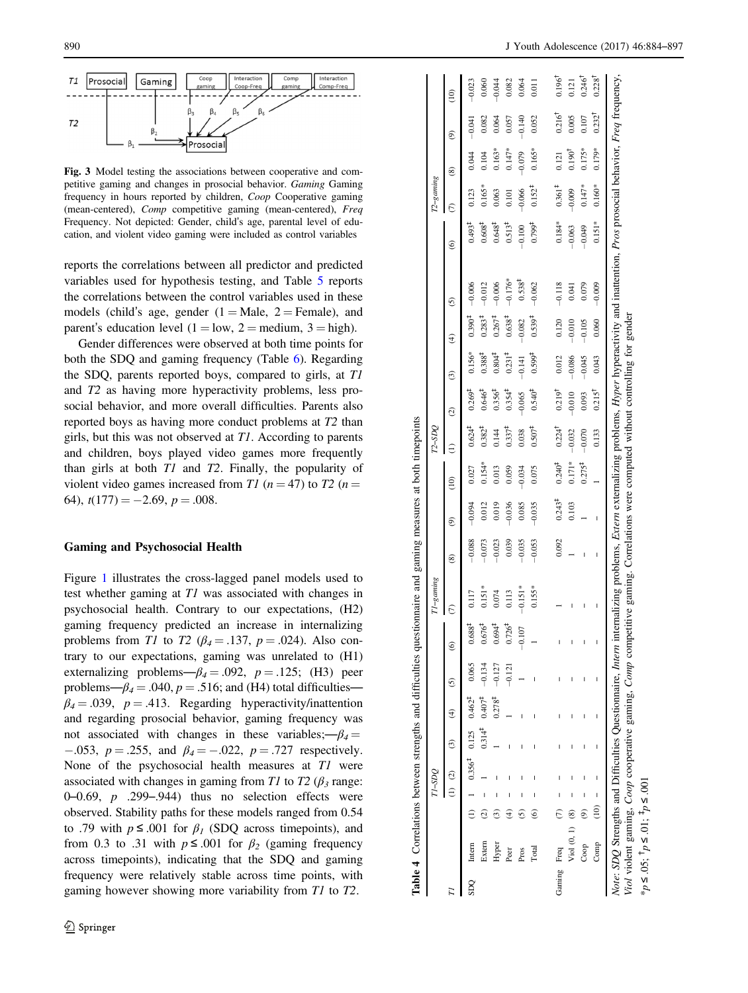<span id="page-6-0"></span>

Fig. 3 Model testing the associations between cooperative and competitive gaming and changes in prosocial behavior. Gaming Gaming frequency in hours reported by children, Coop Cooperative gaming (mean-centered), Comp competitive gaming (mean-centered), Freq Frequency. Not depicted: Gender, child's age, parental level of education, and violent video gaming were included as control variables

reports the correlations between all predictor and predicted variables used for hypothesis testing, and Table [5](#page-7-0) reports the correlations between the control variables used in these models (child's age, gender  $(1 = Male, 2 = Female)$ , and parent's education level  $(1 = low, 2 = medium, 3 = high)$ .

Gender differences were observed at both time points for both the SDQ and gaming frequency (Table [6\)](#page-7-0). Regarding the SDQ, parents reported boys, compared to girls, at T1 and T2 as having more hyperactivity problems, less prosocial behavior, and more overall difficulties. Parents also reported boys as having more conduct problems at T2 than girls, but this was not observed at T1. According to parents and children, boys played video games more frequently than girls at both T1 and T2. Finally, the popularity of violent video games increased from T1 ( $n = 47$ ) to T2 ( $n =$ 64),  $t(177) = -2.69$ ,  $p = .008$ .

#### Gaming and Psychosocial Health

Figure [1](#page-5-0) illustrates the cross-lagged panel models used to test whether gaming at T1 was associated with changes in psychosocial health. Contrary to our expectations, (H2) gaming frequency predicted an increase in internalizing problems from T1 to T2 ( $\beta_4 = .137$ ,  $p = .024$ ). Also contrary to our expectations, gaming was unrelated to (H1) externalizing problems— $\beta_4 = .092$ ,  $p = .125$ ; (H3) peer problems— $\beta_4$  = .040,  $p = .516$ ; and (H4) total difficulties—  $\beta_4 = .039$ ,  $p = .413$ . Regarding hyperactivity/inattention and regarding prosocial behavior, gaming frequency was not associated with changes in these variables;— $\beta_4$  = −.053,  $p = .255$ , and  $\beta_4 = -.022$ ,  $p = .727$  respectively. None of the psychosocial health measures at T1 were associated with changes in gaming from T1 to T2 ( $\beta_3$  range: 0–0.69,  $p$  .299–.944) thus no selection effects were observed. Stability paths for these models ranged from 0.54 to .79 with  $p \leq 0.001$  for  $\beta_1$  (SDQ across timepoints), and from 0.3 to .31 with  $p \le 0.001$  for  $\beta_2$  (gaming frequency across timepoints), indicating that the SDQ and gaming frequency were relatively stable across time points, with gaming however showing more variability from T1 to T2.

|                 |                     |               |             |                                             |                  |                   |                    | T1-ganing  |          |                    |               | $T2-SDQ$             |                      |                      |                         |                    |                    | $T2$ -ganing       |             |                    |                   |
|-----------------|---------------------|---------------|-------------|---------------------------------------------|------------------|-------------------|--------------------|------------|----------|--------------------|---------------|----------------------|----------------------|----------------------|-------------------------|--------------------|--------------------|--------------------|-------------|--------------------|-------------------|
|                 |                     |               | $(1)$ $(2)$ | $\widehat{c}$                               | €                | $\widehat{\circ}$ | $\circ$            | $\epsilon$ | ⊗        | ම                  | $\widehat{=}$ |                      | $\widehat{c}$        | ල                    | $\widehat{\mathcal{F}}$ | ତି                 | $\widehat{\circ}$  | E                  | ම           | ම                  | $\widehat{c}$     |
| SD <sub>O</sub> | Intern              |               |             | $0.356^{\text{+}}$ 0.125 $0.462^{\text{+}}$ |                  | 0.065             | $0.688^{4}$        |            | $-0.088$ | $-0.094$           | 0.027         | $0.624$ <sup>‡</sup> | 0.269 <sup>‡</sup>   | $0.156*$             | 0.390 <sup>#</sup>      | $-0.006$           | 0.493 <sup>‡</sup> | 0.123              | 0.044       | $-0.041$           | $-0.023$          |
|                 | Extern              |               |             | $0.314$ <sup>#</sup>                        | $0.407^+$ -0.134 |                   | $0.676^{\ddagger}$ | $0.151*$   | $-0.073$ | 0.012              | $0.154*$      | $0.382^{\ddagger}$   | 0.646 <sup>‡</sup>   | $0.388^{4}$          | 0.283 <sup>‡</sup>      | $-0.012$           | $0.608^{4}$        | $0.165*$           | 0.104       | 0.082              | 0.060             |
|                 | Hyper               |               |             |                                             | $0.278^{+}$      | $-0.127$          | $0.694^{\ddagger}$ | 0.074      | $-0.023$ | 0.019              | 0.013         | 0.144                | 0.356 <sup>‡</sup>   | $0.804$ <sup>#</sup> | 0.267 <sup>‡</sup>      | $-0.006$           | $0.648^{\ddagger}$ | 0.063              | $0.163*$    | 0.064              | $-0.044$          |
|                 | Peer                |               |             |                                             |                  | $-0.121$          | 0.726 <sup>‡</sup> | 0.113      | 0.039    | $-0.036$           | 0.059         | 0.337 <sup>‡</sup>   | $0.354$ <sup>‡</sup> | 0.231 <sup>‡</sup>   | $0.638^{\ddagger}$      | $-0.176*$          | $0.513^{\ddagger}$ | 0.101              | $0.147*$    | 0.057              | 0.082             |
|                 | Pros                |               |             |                                             |                  |                   | <b>S</b>           | $-0.151*$  | 0.035    | 0.085              | $-0.034$      | 0.038                | $-0.065$             | $-0.141$             | $-0.082$                | 0.538 <sup>‡</sup> | $-0.100$           | $-0.066$           | $-0.079$    | $-0.140$           | 0.064             |
|                 | Total               | ⊚             |             |                                             |                  |                   |                    | $0.155*$   | $-0.053$ | $-0.035$           | 0.075         | $0.507^{\ddagger}$   | $0.540^{\ddagger}$   | 0.599 <sup>‡</sup>   | 0.539 <sup>‡</sup>      | $-0.062$           | 0.799 <sup>‡</sup> | $0.152^{+}$        | $0.165*$    | 0.052              | 0.011             |
|                 |                     |               |             |                                             |                  |                   |                    |            |          |                    |               |                      |                      |                      |                         |                    |                    |                    |             |                    |                   |
| Gaming          | Freq                |               |             |                                             |                  |                   |                    |            | 0.092    | $0.243^{\ddagger}$ | $0.240^{4}$   | $0.224^{\dagger}$    | $0.219^{\dagger}$    | 0.012                | 0.120                   | $-0.118$           | $0.184*$           | 0.361 <sup>‡</sup> | 0.121       | 0.216 <sup>†</sup> | $0.196^{\dagger}$ |
|                 | Viol $(0, 1)$ $(8)$ |               |             |                                             |                  |                   |                    |            |          | 0.103              | $0.171*$      | $-0.032$             | $-0.010$             | $-0.086$             | $-0.010$                | 0.041              | $-0.063$           | $-0.009$           | $0.190^{+}$ | 0.005              | 0.121             |
|                 | Coop                | ခြ            |             |                                             |                  |                   |                    |            |          |                    | $0.275^{+}$   | $-0.070$             | 0.093                | $-0.045$             | $-0.105$                | 0.079              | $-0.049$           | $0.147*$           | $0.175*$    | 0.107              | $0.246^{\dagger}$ |
|                 | Comp                | $\frac{1}{2}$ |             |                                             |                  | I                 |                    | I          | I        | I                  |               | 0.133                | $0.215^{\dagger}$    | 0.043                | 0.060                   | $-0.009$           | $0.151*$           | $0.160*$           | $0.179*$    | $0.232^{\dagger}$  | $0.228^{\dagger}$ |
|                 |                     |               |             |                                             |                  |                   |                    |            |          |                    |               |                      |                      |                      |                         |                    |                    |                    |             |                    |                   |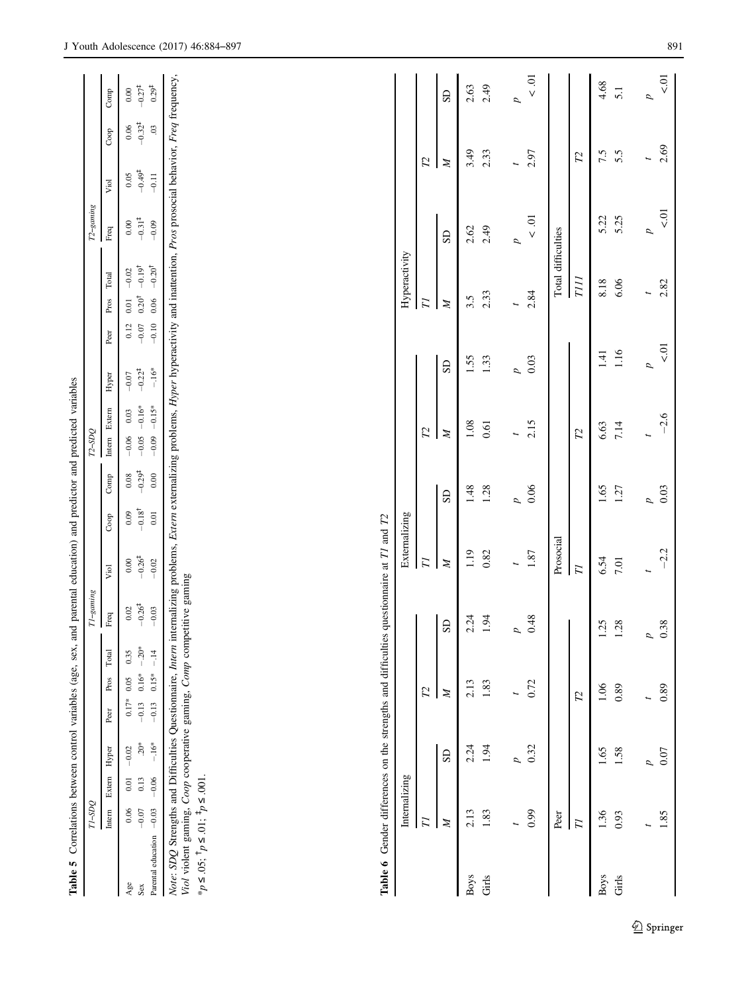<span id="page-7-0"></span>

| Parental education<br>Age<br>Sex | * $p \le .05$ ; <sup>†</sup> $p \le .01$ ; <sup>‡</sup> $p \le .001$ .<br>$_{T-SDQ}$<br>$-0.03$<br>0.06<br>$-0.07$<br>Intern | Extern<br>0.13<br>$-0.06$<br>$0.01\,$ | $.20*$<br>$-16*$<br>$-0.02$<br>Hyper | Gender differences on the strengths and difficulties<br>0.05<br>$\mathcal{L}$<br>$0.17*$<br>$-0.13$<br>$-0.13$<br>Peer | $-0.20*$<br>$-14$<br>Total<br>0.35<br>$0.15*$<br>$0.16*$<br>Pros | Note: SDQ Strengths and Difficulties Questionnaire, Intern internalizing problems, Extern externalizing problems, Hyper hyperactivity and inattention, Pros prosocial behavior, Freq frequency,<br>Viol violent gaming, Coop cooperative gaming, Comp competitive gaming<br>$T1\!\!-\!\!gaming$<br>$-0.26$ <sup>#</sup><br>$-0.03$<br>$0.02\,$<br>Freq | Externalizing<br>questionnaire at TI and T2<br>$-0.26^{\ddagger}$<br>$-0.02$<br>0.00<br>Viol | $-0.18^{\dagger}$<br>0.01<br>0.09<br>$_{\mbox{Coop}}$ | $-0.29^{\ddagger}$<br>0.00<br>0.08<br>$\mbox{Comp}$ | $-0.15*$<br>$-0.16*$<br>Extern<br>0.03<br>$\mathcal{L}$<br>$_{T2\hbox{-}SDQ}$<br>$-0.09$<br>$-0.05$<br>Intern<br>$-0.06$ | $-.16*$<br>$-0.22^{4}$<br>$-0.07$<br>Hyper | $-0.10$<br>0.12<br>$-0.07$<br>Peer | $0.20^{\dagger}$<br>0.06<br>Pros<br>$0.01$ | Hyperactivity<br>$-0.20^{\dagger}$<br>$-0.19^{\dagger}$<br>$-0.02$<br>Total | $T2\text{-}\mathrm{g} a min \mathrm{g}$<br>$-0.31^{\ddagger}$<br>$-0.09$<br>0.00<br>Freq | $\mathcal{L}$<br>$-0.49‡$<br>$-0.11$<br>0.05<br>Viol | $-0.32$ <sup>#</sup><br>03<br>0.06<br>Coop | $0.29^{\ddagger}$<br>$-0.27^{\ddagger}$<br>$\operatorname{Comp}$<br>0.00 |
|----------------------------------|------------------------------------------------------------------------------------------------------------------------------|---------------------------------------|--------------------------------------|------------------------------------------------------------------------------------------------------------------------|------------------------------------------------------------------|--------------------------------------------------------------------------------------------------------------------------------------------------------------------------------------------------------------------------------------------------------------------------------------------------------------------------------------------------------|----------------------------------------------------------------------------------------------|-------------------------------------------------------|-----------------------------------------------------|--------------------------------------------------------------------------------------------------------------------------|--------------------------------------------|------------------------------------|--------------------------------------------|-----------------------------------------------------------------------------|------------------------------------------------------------------------------------------|------------------------------------------------------|--------------------------------------------|--------------------------------------------------------------------------|
|                                  |                                                                                                                              |                                       |                                      |                                                                                                                        |                                                                  |                                                                                                                                                                                                                                                                                                                                                        |                                                                                              |                                                       |                                                     |                                                                                                                          |                                            |                                    |                                            |                                                                             |                                                                                          |                                                      |                                            |                                                                          |
|                                  |                                                                                                                              |                                       |                                      |                                                                                                                        |                                                                  |                                                                                                                                                                                                                                                                                                                                                        |                                                                                              |                                                       |                                                     |                                                                                                                          |                                            |                                    |                                            |                                                                             |                                                                                          |                                                      |                                            |                                                                          |
|                                  |                                                                                                                              |                                       |                                      |                                                                                                                        |                                                                  |                                                                                                                                                                                                                                                                                                                                                        |                                                                                              |                                                       |                                                     |                                                                                                                          |                                            |                                    |                                            |                                                                             |                                                                                          |                                                      |                                            |                                                                          |
|                                  |                                                                                                                              |                                       |                                      |                                                                                                                        |                                                                  |                                                                                                                                                                                                                                                                                                                                                        |                                                                                              |                                                       |                                                     |                                                                                                                          |                                            |                                    |                                            |                                                                             |                                                                                          |                                                      |                                            |                                                                          |
|                                  |                                                                                                                              |                                       |                                      |                                                                                                                        |                                                                  |                                                                                                                                                                                                                                                                                                                                                        |                                                                                              |                                                       |                                                     |                                                                                                                          |                                            |                                    |                                            |                                                                             |                                                                                          |                                                      |                                            |                                                                          |
|                                  |                                                                                                                              |                                       |                                      |                                                                                                                        |                                                                  |                                                                                                                                                                                                                                                                                                                                                        |                                                                                              |                                                       |                                                     |                                                                                                                          |                                            |                                    |                                            |                                                                             |                                                                                          |                                                      |                                            |                                                                          |
|                                  |                                                                                                                              |                                       |                                      |                                                                                                                        |                                                                  |                                                                                                                                                                                                                                                                                                                                                        |                                                                                              |                                                       |                                                     |                                                                                                                          |                                            |                                    |                                            |                                                                             |                                                                                          |                                                      |                                            |                                                                          |
|                                  |                                                                                                                              |                                       |                                      |                                                                                                                        |                                                                  |                                                                                                                                                                                                                                                                                                                                                        |                                                                                              |                                                       |                                                     |                                                                                                                          |                                            |                                    |                                            |                                                                             |                                                                                          |                                                      |                                            |                                                                          |
|                                  |                                                                                                                              |                                       |                                      |                                                                                                                        |                                                                  |                                                                                                                                                                                                                                                                                                                                                        |                                                                                              |                                                       |                                                     |                                                                                                                          |                                            |                                    |                                            |                                                                             |                                                                                          |                                                      |                                            |                                                                          |
|                                  |                                                                                                                              |                                       |                                      |                                                                                                                        |                                                                  |                                                                                                                                                                                                                                                                                                                                                        |                                                                                              |                                                       |                                                     |                                                                                                                          |                                            |                                    |                                            |                                                                             |                                                                                          |                                                      |                                            |                                                                          |
|                                  |                                                                                                                              |                                       |                                      |                                                                                                                        |                                                                  |                                                                                                                                                                                                                                                                                                                                                        |                                                                                              |                                                       |                                                     |                                                                                                                          |                                            |                                    |                                            |                                                                             |                                                                                          |                                                      |                                            |                                                                          |
|                                  |                                                                                                                              |                                       |                                      |                                                                                                                        |                                                                  |                                                                                                                                                                                                                                                                                                                                                        |                                                                                              |                                                       |                                                     |                                                                                                                          |                                            |                                    |                                            |                                                                             |                                                                                          |                                                      |                                            |                                                                          |
| Table 6                          |                                                                                                                              |                                       |                                      |                                                                                                                        |                                                                  |                                                                                                                                                                                                                                                                                                                                                        |                                                                                              |                                                       |                                                     |                                                                                                                          |                                            |                                    |                                            |                                                                             |                                                                                          |                                                      |                                            |                                                                          |
|                                  |                                                                                                                              | Internalizing                         |                                      |                                                                                                                        |                                                                  |                                                                                                                                                                                                                                                                                                                                                        |                                                                                              |                                                       |                                                     |                                                                                                                          |                                            |                                    |                                            |                                                                             |                                                                                          |                                                      |                                            |                                                                          |
|                                  | $\overline{T}$                                                                                                               |                                       |                                      |                                                                                                                        |                                                                  |                                                                                                                                                                                                                                                                                                                                                        | $\overline{\Gamma}$                                                                          |                                                       |                                                     |                                                                                                                          |                                            |                                    | $\overline{T}$                             |                                                                             |                                                                                          |                                                      |                                            |                                                                          |
|                                  | $\boldsymbol{z}$                                                                                                             |                                       | <b>GS</b>                            | $\boldsymbol{z}$                                                                                                       |                                                                  | $_{\rm SD}$                                                                                                                                                                                                                                                                                                                                            | $\boldsymbol{z}$                                                                             | <b>GS</b>                                             |                                                     | $\mathbb{Z}$                                                                                                             | $_{\rm SD}$                                |                                    | $\boldsymbol{z}$                           |                                                                             | GS                                                                                       | $\boldsymbol{z}$                                     |                                            | GS                                                                       |
| Boys                             | 2.13                                                                                                                         |                                       | 2.24                                 | 2.13                                                                                                                   |                                                                  | 2.24                                                                                                                                                                                                                                                                                                                                                   | 1.19                                                                                         | 1.48                                                  |                                                     | 1.08                                                                                                                     | 1.55                                       |                                    | $3.\overline{5}$                           |                                                                             | 2.62                                                                                     | 3.49                                                 |                                            | 2.63                                                                     |
| Girls                            | 1.83                                                                                                                         |                                       | 1.94                                 | 1.83                                                                                                                   |                                                                  | $-94$                                                                                                                                                                                                                                                                                                                                                  | 0.82                                                                                         | 1.28                                                  |                                                     | 0.61                                                                                                                     | 1.33                                       |                                    | 2.33                                       |                                                                             | 2.49                                                                                     | 2.33                                                 |                                            | 2.49                                                                     |
|                                  |                                                                                                                              |                                       | $\boldsymbol{p}$                     | $\overline{ }$                                                                                                         |                                                                  |                                                                                                                                                                                                                                                                                                                                                        |                                                                                              | $\overline{a}$                                        |                                                     | $\overline{\phantom{a}}$                                                                                                 | $\boldsymbol{p}$                           |                                    | $\overline{ }$                             |                                                                             | $\boldsymbol{p}$                                                                         | $\overline{ }$                                       |                                            | p                                                                        |
|                                  | 660                                                                                                                          |                                       | 0.32                                 | 0.72                                                                                                                   |                                                                  | 0.48                                                                                                                                                                                                                                                                                                                                                   | 1.87                                                                                         | 0.06                                                  |                                                     | 2.15                                                                                                                     | 0.03                                       |                                    | 2.84                                       |                                                                             | $< .01$                                                                                  | 2.97                                                 |                                            | $< .01$                                                                  |
|                                  | Peer                                                                                                                         |                                       |                                      |                                                                                                                        |                                                                  |                                                                                                                                                                                                                                                                                                                                                        | Prosocial                                                                                    |                                                       |                                                     |                                                                                                                          |                                            |                                    |                                            | Total difficulties                                                          |                                                                                          |                                                      |                                            |                                                                          |
|                                  | $\overline{T}$                                                                                                               |                                       |                                      | T <sup>2</sup>                                                                                                         |                                                                  |                                                                                                                                                                                                                                                                                                                                                        | $\overline{T}$                                                                               |                                                       |                                                     | $\mathcal{L}$                                                                                                            |                                            |                                    | <b>TIII</b>                                |                                                                             |                                                                                          | $\Gamma$                                             |                                            |                                                                          |
| Boys                             | 1.36                                                                                                                         |                                       | 1.65                                 | 1.06                                                                                                                   |                                                                  | 1.25                                                                                                                                                                                                                                                                                                                                                   | 6.54                                                                                         | 1.65                                                  |                                                     | 6.63                                                                                                                     | 1.41                                       |                                    | 8.18                                       |                                                                             | 5.22                                                                                     | 7.5                                                  |                                            | 4.68                                                                     |
| Girls                            | 0.93                                                                                                                         |                                       | 1.58                                 | 0.89                                                                                                                   |                                                                  | 1.28                                                                                                                                                                                                                                                                                                                                                   | $7.01\,$                                                                                     | 1.27                                                  |                                                     | 7.14                                                                                                                     | 1.16                                       |                                    | 6.06                                       |                                                                             | 5.25                                                                                     | 5.5                                                  |                                            | 5.1                                                                      |
|                                  |                                                                                                                              | $\overline{a}$                        |                                      | t                                                                                                                      |                                                                  |                                                                                                                                                                                                                                                                                                                                                        |                                                                                              |                                                       |                                                     |                                                                                                                          | $\overline{a}$                             |                                    |                                            |                                                                             | $\boldsymbol{d}$                                                                         | t                                                    |                                            | $\overline{a}$                                                           |
|                                  | 1.85                                                                                                                         |                                       | 0.07                                 | 0.89                                                                                                                   |                                                                  | $\begin{array}{c} p \\ 0.38 \end{array}$                                                                                                                                                                                                                                                                                                               | $-2.2$                                                                                       | $\frac{p}{0.03}$                                      |                                                     | $-2.6$                                                                                                                   |                                            | $\lesssim$ 01                      | 2.82                                       |                                                                             | $< 01$                                                                                   | 2.69                                                 |                                            | $\leqslant$ 0.1                                                          |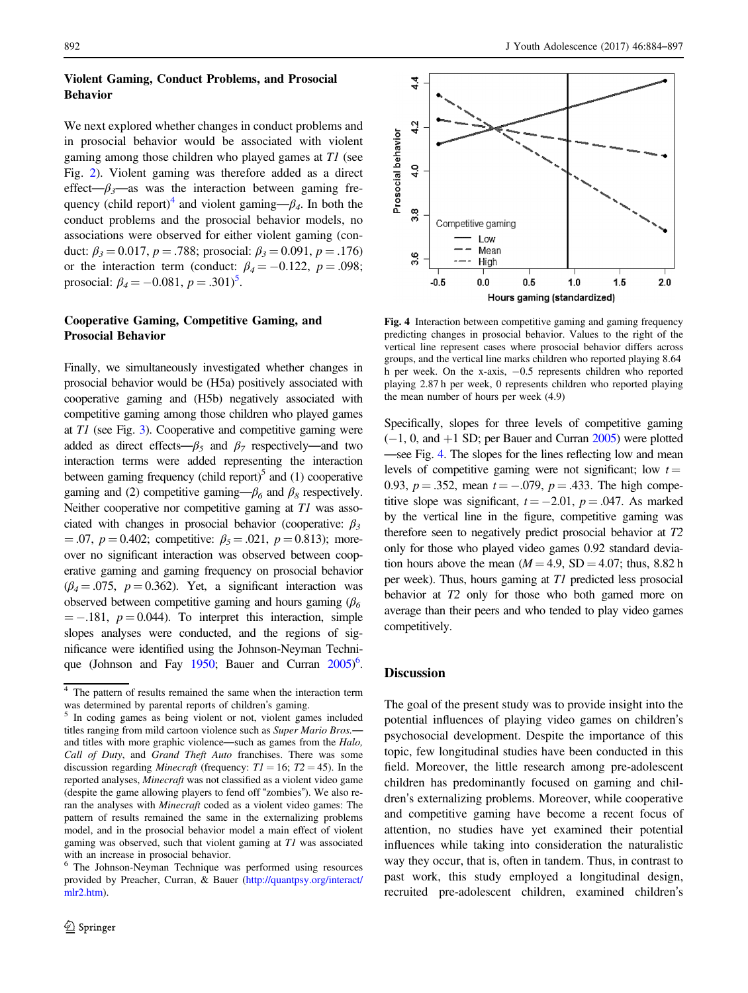# Violent Gaming, Conduct Problems, and Prosocial Behavior

We next explored whether changes in conduct problems and in prosocial behavior would be associated with violent gaming among those children who played games at T1 (see Fig. [2](#page-5-0)). Violent gaming was therefore added as a direct effect— $\beta_3$ —as was the interaction between gaming frequency (child report)<sup>4</sup> and violent gaming— $\beta_4$ . In both the conduct problems and the prosocial behavior models, no associations were observed for either violent gaming (conduct: β<sub>3</sub> = 0.017, p = .788; prosocial: β<sub>3</sub> = 0.091, p = .176) or the interaction term (conduct:  $\beta_4 = -0.122$ ,  $p = .098$ ; prosocial:  $\beta_4 = -0.081, p = .301)^5$ .

# Cooperative Gaming, Competitive Gaming, and Prosocial Behavior

Finally, we simultaneously investigated whether changes in prosocial behavior would be (H5a) positively associated with cooperative gaming and (H5b) negatively associated with competitive gaming among those children who played games at  $TI$  (see Fig. [3\)](#page-6-0). Cooperative and competitive gaming were added as direct effects— $\beta_5$  and  $\beta_7$  respectively—and two interaction terms were added representing the interaction between gaming frequency (child report) $\delta$  and (1) cooperative gaming and (2) competitive gaming— $\beta_6$  and  $\beta_8$  respectively. Neither cooperative nor competitive gaming at T1 was associated with changes in prosocial behavior (cooperative:  $\beta_3$  $= .07, p = 0.402$ ; competitive:  $\beta_5 = .021, p = 0.813$ ); moreover no significant interaction was observed between cooperative gaming and gaming frequency on prosocial behavior  $(\beta_4 = .075, p = 0.362)$ . Yet, a significant interaction was observed between competitive gaming and hours gaming ( $\beta_6$ )  $= -0.181$ ,  $p = 0.044$ ). To interpret this interaction, simple slopes analyses were conducted, and the regions of significance were identified using the Johnson-Neyman Techni-que (Johnson and Fay [1950](#page-12-0); Bauer and Curran [2005](#page-11-0))<sup>6</sup>.



Fig. 4 Interaction between competitive gaming and gaming frequency predicting changes in prosocial behavior. Values to the right of the vertical line represent cases where prosocial behavior differs across groups, and the vertical line marks children who reported playing 8.64 h per week. On the x-axis, −0.5 represents children who reported playing 2.87 h per week, 0 represents children who reported playing the mean number of hours per week (4.9)

Specifically, slopes for three levels of competitive gaming  $(-1, 0, \text{ and } +1 \text{ SD}$ ; per Bauer and Curran [2005\)](#page-11-0) were plotted —see Fig. 4. The slopes for the lines reflecting low and mean levels of competitive gaming were not significant; low  $t =$ 0.93,  $p = 0.352$ , mean  $t = -0.079$ ,  $p = 0.433$ . The high competitive slope was significant,  $t = -2.01$ ,  $p = .047$ . As marked by the vertical line in the figure, competitive gaming was therefore seen to negatively predict prosocial behavior at T2 only for those who played video games 0.92 standard deviation hours above the mean  $(M = 4.9, SD = 4.07;$  thus, 8.82 h per week). Thus, hours gaming at T1 predicted less prosocial behavior at T2 only for those who both gamed more on average than their peers and who tended to play video games competitively.

# Discussion

The goal of the present study was to provide insight into the potential influences of playing video games on children's psychosocial development. Despite the importance of this topic, few longitudinal studies have been conducted in this field. Moreover, the little research among pre-adolescent children has predominantly focused on gaming and children's externalizing problems. Moreover, while cooperative and competitive gaming have become a recent focus of attention, no studies have yet examined their potential influences while taking into consideration the naturalistic way they occur, that is, often in tandem. Thus, in contrast to past work, this study employed a longitudinal design, recruited pre-adolescent children, examined children's

 $\frac{4}{4}$  The pattern of results remained the same when the interaction term was determined by parental reports of children's gaming.

 $5$  In coding games as being violent or not, violent games included titles ranging from mild cartoon violence such as Super Mario Bros. and titles with more graphic violence—such as games from the Halo, Call of Duty, and Grand Theft Auto franchises. There was some discussion regarding *Minecraft* (frequency:  $TI = 16$ ;  $T2 = 45$ ). In the reported analyses, Minecraft was not classified as a violent video game (despite the game allowing players to fend off "zombies"). We also reran the analyses with Minecraft coded as a violent video games: The pattern of results remained the same in the externalizing problems model, and in the prosocial behavior model a main effect of violent gaming was observed, such that violent gaming at T1 was associated with an increase in prosocial behavior.

<sup>6</sup> The Johnson-Neyman Technique was performed using resources provided by Preacher, Curran, & Bauer ([http://quantpsy.org/interact/](http://quantpsy.org/interact/mlr2.htm) [mlr2.htm\)](http://quantpsy.org/interact/mlr2.htm).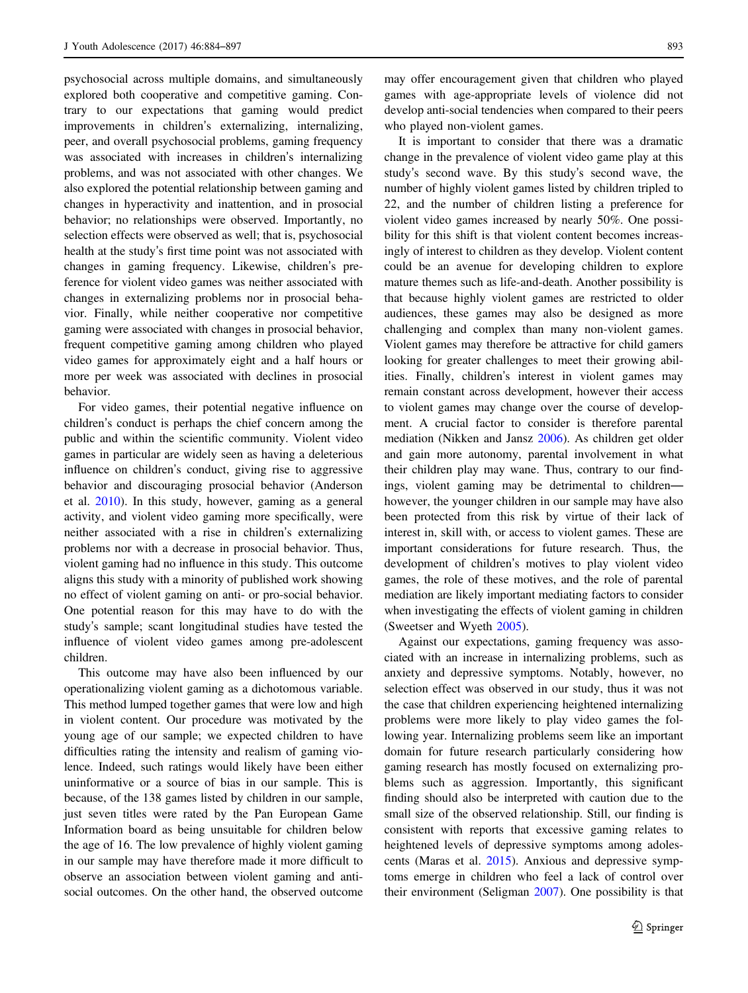psychosocial across multiple domains, and simultaneously explored both cooperative and competitive gaming. Contrary to our expectations that gaming would predict improvements in children's externalizing, internalizing, peer, and overall psychosocial problems, gaming frequency was associated with increases in children's internalizing problems, and was not associated with other changes. We also explored the potential relationship between gaming and changes in hyperactivity and inattention, and in prosocial behavior; no relationships were observed. Importantly, no selection effects were observed as well; that is, psychosocial health at the study's first time point was not associated with changes in gaming frequency. Likewise, children's preference for violent video games was neither associated with changes in externalizing problems nor in prosocial behavior. Finally, while neither cooperative nor competitive gaming were associated with changes in prosocial behavior, frequent competitive gaming among children who played video games for approximately eight and a half hours or more per week was associated with declines in prosocial behavior.

For video games, their potential negative influence on children's conduct is perhaps the chief concern among the public and within the scientific community. Violent video games in particular are widely seen as having a deleterious influence on children's conduct, giving rise to aggressive behavior and discouraging prosocial behavior (Anderson et al. [2010\)](#page-11-0). In this study, however, gaming as a general activity, and violent video gaming more specifically, were neither associated with a rise in children's externalizing problems nor with a decrease in prosocial behavior. Thus, violent gaming had no influence in this study. This outcome aligns this study with a minority of published work showing no effect of violent gaming on anti- or pro-social behavior. One potential reason for this may have to do with the study's sample; scant longitudinal studies have tested the influence of violent video games among pre-adolescent children.

This outcome may have also been influenced by our operationalizing violent gaming as a dichotomous variable. This method lumped together games that were low and high in violent content. Our procedure was motivated by the young age of our sample; we expected children to have difficulties rating the intensity and realism of gaming violence. Indeed, such ratings would likely have been either uninformative or a source of bias in our sample. This is because, of the 138 games listed by children in our sample, just seven titles were rated by the Pan European Game Information board as being unsuitable for children below the age of 16. The low prevalence of highly violent gaming in our sample may have therefore made it more difficult to observe an association between violent gaming and antisocial outcomes. On the other hand, the observed outcome

may offer encouragement given that children who played games with age-appropriate levels of violence did not develop anti-social tendencies when compared to their peers who played non-violent games.

It is important to consider that there was a dramatic change in the prevalence of violent video game play at this study's second wave. By this study's second wave, the number of highly violent games listed by children tripled to 22, and the number of children listing a preference for violent video games increased by nearly 50%. One possibility for this shift is that violent content becomes increasingly of interest to children as they develop. Violent content could be an avenue for developing children to explore mature themes such as life-and-death. Another possibility is that because highly violent games are restricted to older audiences, these games may also be designed as more challenging and complex than many non-violent games. Violent games may therefore be attractive for child gamers looking for greater challenges to meet their growing abilities. Finally, children's interest in violent games may remain constant across development, however their access to violent games may change over the course of development. A crucial factor to consider is therefore parental mediation (Nikken and Jansz [2006](#page-12-0)). As children get older and gain more autonomy, parental involvement in what their children play may wane. Thus, contrary to our findings, violent gaming may be detrimental to children however, the younger children in our sample may have also been protected from this risk by virtue of their lack of interest in, skill with, or access to violent games. These are important considerations for future research. Thus, the development of children's motives to play violent video games, the role of these motives, and the role of parental mediation are likely important mediating factors to consider when investigating the effects of violent gaming in children (Sweetser and Wyeth [2005\)](#page-13-0).

Against our expectations, gaming frequency was associated with an increase in internalizing problems, such as anxiety and depressive symptoms. Notably, however, no selection effect was observed in our study, thus it was not the case that children experiencing heightened internalizing problems were more likely to play video games the following year. Internalizing problems seem like an important domain for future research particularly considering how gaming research has mostly focused on externalizing problems such as aggression. Importantly, this significant finding should also be interpreted with caution due to the small size of the observed relationship. Still, our finding is consistent with reports that excessive gaming relates to heightened levels of depressive symptoms among adolescents (Maras et al. [2015](#page-12-0)). Anxious and depressive symptoms emerge in children who feel a lack of control over their environment (Seligman [2007](#page-13-0)). One possibility is that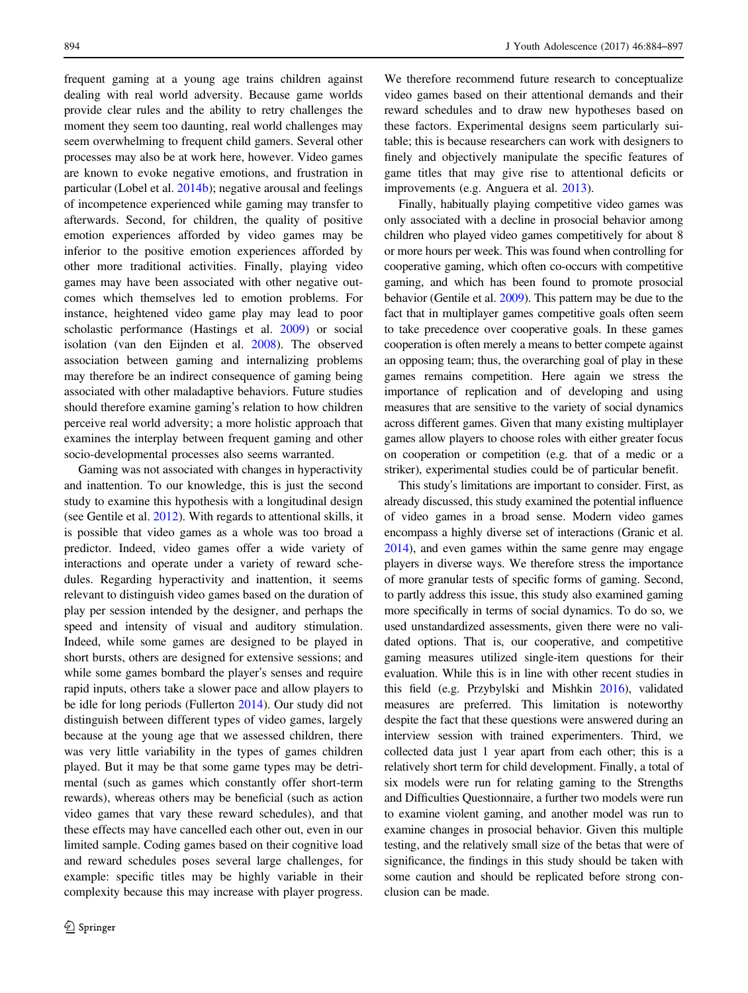frequent gaming at a young age trains children against dealing with real world adversity. Because game worlds provide clear rules and the ability to retry challenges the moment they seem too daunting, real world challenges may seem overwhelming to frequent child gamers. Several other processes may also be at work here, however. Video games are known to evoke negative emotions, and frustration in particular (Lobel et al. [2014b](#page-12-0)); negative arousal and feelings of incompetence experienced while gaming may transfer to afterwards. Second, for children, the quality of positive emotion experiences afforded by video games may be inferior to the positive emotion experiences afforded by other more traditional activities. Finally, playing video games may have been associated with other negative outcomes which themselves led to emotion problems. For instance, heightened video game play may lead to poor scholastic performance (Hastings et al. [2009](#page-12-0)) or social isolation (van den Eijnden et al. [2008](#page-12-0)). The observed association between gaming and internalizing problems may therefore be an indirect consequence of gaming being associated with other maladaptive behaviors. Future studies should therefore examine gaming's relation to how children perceive real world adversity; a more holistic approach that examines the interplay between frequent gaming and other socio-developmental processes also seems warranted.

Gaming was not associated with changes in hyperactivity and inattention. To our knowledge, this is just the second study to examine this hypothesis with a longitudinal design (see Gentile et al. [2012](#page-12-0)). With regards to attentional skills, it is possible that video games as a whole was too broad a predictor. Indeed, video games offer a wide variety of interactions and operate under a variety of reward schedules. Regarding hyperactivity and inattention, it seems relevant to distinguish video games based on the duration of play per session intended by the designer, and perhaps the speed and intensity of visual and auditory stimulation. Indeed, while some games are designed to be played in short bursts, others are designed for extensive sessions; and while some games bombard the player's senses and require rapid inputs, others take a slower pace and allow players to be idle for long periods (Fullerton [2014\)](#page-12-0). Our study did not distinguish between different types of video games, largely because at the young age that we assessed children, there was very little variability in the types of games children played. But it may be that some game types may be detrimental (such as games which constantly offer short-term rewards), whereas others may be beneficial (such as action video games that vary these reward schedules), and that these effects may have cancelled each other out, even in our limited sample. Coding games based on their cognitive load and reward schedules poses several large challenges, for example: specific titles may be highly variable in their complexity because this may increase with player progress.

We therefore recommend future research to conceptualize video games based on their attentional demands and their reward schedules and to draw new hypotheses based on these factors. Experimental designs seem particularly suitable; this is because researchers can work with designers to finely and objectively manipulate the specific features of game titles that may give rise to attentional deficits or improvements (e.g. Anguera et al. [2013\)](#page-11-0).

Finally, habitually playing competitive video games was only associated with a decline in prosocial behavior among children who played video games competitively for about 8 or more hours per week. This was found when controlling for cooperative gaming, which often co-occurs with competitive gaming, and which has been found to promote prosocial behavior (Gentile et al. [2009](#page-12-0)). This pattern may be due to the fact that in multiplayer games competitive goals often seem to take precedence over cooperative goals. In these games cooperation is often merely a means to better compete against an opposing team; thus, the overarching goal of play in these games remains competition. Here again we stress the importance of replication and of developing and using measures that are sensitive to the variety of social dynamics across different games. Given that many existing multiplayer games allow players to choose roles with either greater focus on cooperation or competition (e.g. that of a medic or a striker), experimental studies could be of particular benefit.

This study's limitations are important to consider. First, as already discussed, this study examined the potential influence of video games in a broad sense. Modern video games encompass a highly diverse set of interactions (Granic et al. [2014\)](#page-12-0), and even games within the same genre may engage players in diverse ways. We therefore stress the importance of more granular tests of specific forms of gaming. Second, to partly address this issue, this study also examined gaming more specifically in terms of social dynamics. To do so, we used unstandardized assessments, given there were no validated options. That is, our cooperative, and competitive gaming measures utilized single-item questions for their evaluation. While this is in line with other recent studies in this field (e.g. Przybylski and Mishkin [2016](#page-12-0)), validated measures are preferred. This limitation is noteworthy despite the fact that these questions were answered during an interview session with trained experimenters. Third, we collected data just 1 year apart from each other; this is a relatively short term for child development. Finally, a total of six models were run for relating gaming to the Strengths and Difficulties Questionnaire, a further two models were run to examine violent gaming, and another model was run to examine changes in prosocial behavior. Given this multiple testing, and the relatively small size of the betas that were of significance, the findings in this study should be taken with some caution and should be replicated before strong conclusion can be made.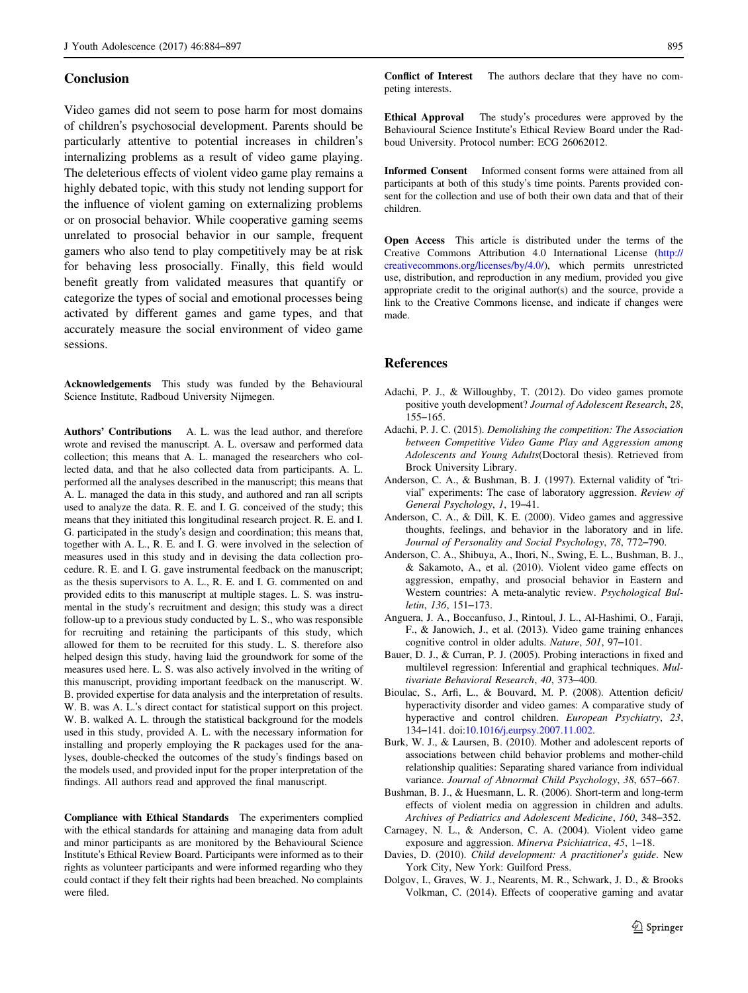#### <span id="page-11-0"></span>Conclusion

Video games did not seem to pose harm for most domains of children's psychosocial development. Parents should be particularly attentive to potential increases in children's internalizing problems as a result of video game playing. The deleterious effects of violent video game play remains a highly debated topic, with this study not lending support for the influence of violent gaming on externalizing problems or on prosocial behavior. While cooperative gaming seems unrelated to prosocial behavior in our sample, frequent gamers who also tend to play competitively may be at risk for behaving less prosocially. Finally, this field would benefit greatly from validated measures that quantify or categorize the types of social and emotional processes being activated by different games and game types, and that accurately measure the social environment of video game sessions.

Acknowledgements This study was funded by the Behavioural Science Institute, Radboud University Nijmegen.

Authors' Contributions A. L. was the lead author, and therefore wrote and revised the manuscript. A. L. oversaw and performed data collection; this means that A. L. managed the researchers who collected data, and that he also collected data from participants. A. L. performed all the analyses described in the manuscript; this means that A. L. managed the data in this study, and authored and ran all scripts used to analyze the data. R. E. and I. G. conceived of the study; this means that they initiated this longitudinal research project. R. E. and I. G. participated in the study's design and coordination; this means that, together with A. L., R. E. and I. G. were involved in the selection of measures used in this study and in devising the data collection procedure. R. E. and I. G. gave instrumental feedback on the manuscript; as the thesis supervisors to A. L., R. E. and I. G. commented on and provided edits to this manuscript at multiple stages. L. S. was instrumental in the study's recruitment and design; this study was a direct follow-up to a previous study conducted by L. S., who was responsible for recruiting and retaining the participants of this study, which allowed for them to be recruited for this study. L. S. therefore also helped design this study, having laid the groundwork for some of the measures used here. L. S. was also actively involved in the writing of this manuscript, providing important feedback on the manuscript. W. B. provided expertise for data analysis and the interpretation of results. W. B. was A. L.'s direct contact for statistical support on this project. W. B. walked A. L. through the statistical background for the models used in this study, provided A. L. with the necessary information for installing and properly employing the R packages used for the analyses, double-checked the outcomes of the study's findings based on the models used, and provided input for the proper interpretation of the findings. All authors read and approved the final manuscript.

Compliance with Ethical Standards The experimenters complied with the ethical standards for attaining and managing data from adult and minor participants as are monitored by the Behavioural Science Institute's Ethical Review Board. Participants were informed as to their rights as volunteer participants and were informed regarding who they could contact if they felt their rights had been breached. No complaints were filed.

Conflict of Interest The authors declare that they have no competing interests.

Ethical Approval The study's procedures were approved by the Behavioural Science Institute's Ethical Review Board under the Radboud University. Protocol number: ECG 26062012.

Informed Consent Informed consent forms were attained from all participants at both of this study's time points. Parents provided consent for the collection and use of both their own data and that of their children.

Open Access This article is distributed under the terms of the Creative Commons Attribution 4.0 International License [\(http://](http://creativecommons.org/licenses/by/4.0/) [creativecommons.org/licenses/by/4.0/](http://creativecommons.org/licenses/by/4.0/)), which permits unrestricted use, distribution, and reproduction in any medium, provided you give appropriate credit to the original author(s) and the source, provide a link to the Creative Commons license, and indicate if changes were made.

#### References

- Adachi, P. J., & Willoughby, T. (2012). Do video games promote positive youth development? Journal of Adolescent Research, 28, 155–165.
- Adachi, P. J. C. (2015). Demolishing the competition: The Association between Competitive Video Game Play and Aggression among Adolescents and Young Adults(Doctoral thesis). Retrieved from Brock University Library.
- Anderson, C. A., & Bushman, B. J. (1997). External validity of "trivial" experiments: The case of laboratory aggression. Review of General Psychology, 1, 19–41.
- Anderson, C. A., & Dill, K. E. (2000). Video games and aggressive thoughts, feelings, and behavior in the laboratory and in life. Journal of Personality and Social Psychology, 78, 772–790.
- Anderson, C. A., Shibuya, A., Ihori, N., Swing, E. L., Bushman, B. J., & Sakamoto, A., et al. (2010). Violent video game effects on aggression, empathy, and prosocial behavior in Eastern and Western countries: A meta-analytic review. Psychological Bulletin, 136, 151–173.
- Anguera, J. A., Boccanfuso, J., Rintoul, J. L., Al-Hashimi, O., Faraji, F., & Janowich, J., et al. (2013). Video game training enhances cognitive control in older adults. Nature, 501, 97–101.
- Bauer, D. J., & Curran, P. J. (2005). Probing interactions in fixed and multilevel regression: Inferential and graphical techniques. Multivariate Behavioral Research, 40, 373–400.
- Bioulac, S., Arfi, L., & Bouvard, M. P. (2008). Attention deficit/ hyperactivity disorder and video games: A comparative study of hyperactive and control children. European Psychiatry, 23, 134–141. doi:[10.1016/j.eurpsy.2007.11.002.](http://dx.doi.org/10.1016/j.eurpsy.2007.11.002)
- Burk, W. J., & Laursen, B. (2010). Mother and adolescent reports of associations between child behavior problems and mother-child relationship qualities: Separating shared variance from individual variance. Journal of Abnormal Child Psychology, 38, 657–667.
- Bushman, B. J., & Huesmann, L. R. (2006). Short-term and long-term effects of violent media on aggression in children and adults. Archives of Pediatrics and Adolescent Medicine, 160, 348–352.
- Carnagey, N. L., & Anderson, C. A. (2004). Violent video game exposure and aggression. Minerva Psichiatrica, 45, 1–18.
- Davies, D. (2010). Child development: A practitioner's guide. New York City, New York: Guilford Press.
- Dolgov, I., Graves, W. J., Nearents, M. R., Schwark, J. D., & Brooks Volkman, C. (2014). Effects of cooperative gaming and avatar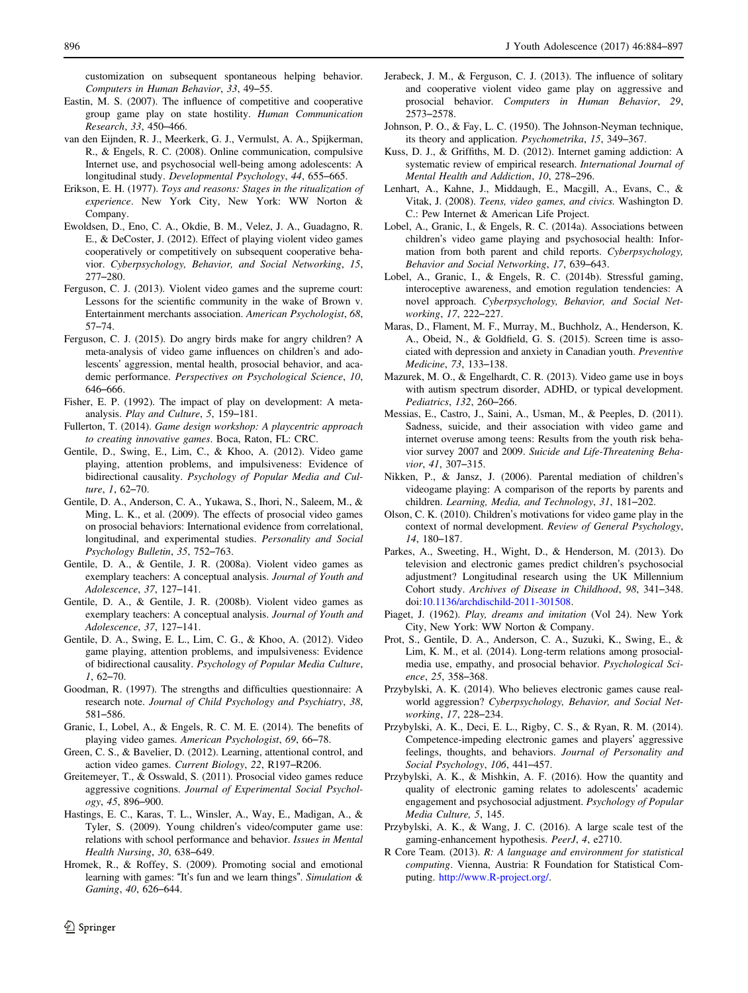<span id="page-12-0"></span>customization on subsequent spontaneous helping behavior. Computers in Human Behavior, 33, 49–55.

- Eastin, M. S. (2007). The influence of competitive and cooperative group game play on state hostility. Human Communication Research, 33, 450–466.
- van den Eijnden, R. J., Meerkerk, G. J., Vermulst, A. A., Spijkerman, R., & Engels, R. C. (2008). Online communication, compulsive Internet use, and psychosocial well-being among adolescents: A longitudinal study. Developmental Psychology, 44, 655–665.
- Erikson, E. H. (1977). Toys and reasons: Stages in the ritualization of experience. New York City, New York: WW Norton & Company.
- Ewoldsen, D., Eno, C. A., Okdie, B. M., Velez, J. A., Guadagno, R. E., & DeCoster, J. (2012). Effect of playing violent video games cooperatively or competitively on subsequent cooperative behavior. Cyberpsychology, Behavior, and Social Networking, 15, 277–280.
- Ferguson, C. J. (2013). Violent video games and the supreme court: Lessons for the scientific community in the wake of Brown v. Entertainment merchants association. American Psychologist, 68, 57–74.
- Ferguson, C. J. (2015). Do angry birds make for angry children? A meta-analysis of video game influences on children's and adolescents' aggression, mental health, prosocial behavior, and academic performance. Perspectives on Psychological Science, 10, 646–666.
- Fisher, E. P. (1992). The impact of play on development: A metaanalysis. Play and Culture, 5, 159–181.
- Fullerton, T. (2014). Game design workshop: A playcentric approach to creating innovative games. Boca, Raton, FL: CRC.
- Gentile, D., Swing, E., Lim, C., & Khoo, A. (2012). Video game playing, attention problems, and impulsiveness: Evidence of bidirectional causality. Psychology of Popular Media and Culture, 1, 62–70.
- Gentile, D. A., Anderson, C. A., Yukawa, S., Ihori, N., Saleem, M., & Ming, L. K., et al. (2009). The effects of prosocial video games on prosocial behaviors: International evidence from correlational, longitudinal, and experimental studies. Personality and Social Psychology Bulletin, 35, 752–763.
- Gentile, D. A., & Gentile, J. R. (2008a). Violent video games as exemplary teachers: A conceptual analysis. Journal of Youth and Adolescence, 37, 127–141.
- Gentile, D. A., & Gentile, J. R. (2008b). Violent video games as exemplary teachers: A conceptual analysis. Journal of Youth and Adolescence, 37, 127–141.
- Gentile, D. A., Swing, E. L., Lim, C. G., & Khoo, A. (2012). Video game playing, attention problems, and impulsiveness: Evidence of bidirectional causality. Psychology of Popular Media Culture, 1, 62–70.
- Goodman, R. (1997). The strengths and difficulties questionnaire: A research note. Journal of Child Psychology and Psychiatry, 38, 581–586.
- Granic, I., Lobel, A., & Engels, R. C. M. E. (2014). The benefits of playing video games. American Psychologist, 69, 66–78.
- Green, C. S., & Bavelier, D. (2012). Learning, attentional control, and action video games. Current Biology, 22, R197–R206.
- Greitemeyer, T., & Osswald, S. (2011). Prosocial video games reduce aggressive cognitions. Journal of Experimental Social Psychology, 45, 896–900.
- Hastings, E. C., Karas, T. L., Winsler, A., Way, E., Madigan, A., & Tyler, S. (2009). Young children's video/computer game use: relations with school performance and behavior. Issues in Mental Health Nursing, 30, 638–649.
- Hromek, R., & Roffey, S. (2009). Promoting social and emotional learning with games: "It's fun and we learn things". Simulation & Gaming, 40, 626–644.
- Jerabeck, J. M., & Ferguson, C. J. (2013). The influence of solitary and cooperative violent video game play on aggressive and prosocial behavior. Computers in Human Behavior, 29, 2573–2578.
- Johnson, P. O., & Fay, L. C. (1950). The Johnson-Neyman technique, its theory and application. Psychometrika, 15, 349–367.
- Kuss, D. J., & Griffiths, M. D. (2012). Internet gaming addiction: A systematic review of empirical research. International Journal of Mental Health and Addiction, 10, 278–296.
- Lenhart, A., Kahne, J., Middaugh, E., Macgill, A., Evans, C., & Vitak, J. (2008). Teens, video games, and civics. Washington D. C.: Pew Internet & American Life Project.
- Lobel, A., Granic, I., & Engels, R. C. (2014a). Associations between children's video game playing and psychosocial health: Information from both parent and child reports. Cyberpsychology, Behavior and Social Networking, 17, 639–643.
- Lobel, A., Granic, I., & Engels, R. C. (2014b). Stressful gaming, interoceptive awareness, and emotion regulation tendencies: A novel approach. Cyberpsychology, Behavior, and Social Networking, 17, 222–227.
- Maras, D., Flament, M. F., Murray, M., Buchholz, A., Henderson, K. A., Obeid, N., & Goldfield, G. S. (2015). Screen time is associated with depression and anxiety in Canadian youth. Preventive Medicine, 73, 133–138.
- Mazurek, M. O., & Engelhardt, C. R. (2013). Video game use in boys with autism spectrum disorder, ADHD, or typical development. Pediatrics, 132, 260–266.
- Messias, E., Castro, J., Saini, A., Usman, M., & Peeples, D. (2011). Sadness, suicide, and their association with video game and internet overuse among teens: Results from the youth risk behavior survey 2007 and 2009. Suicide and Life-Threatening Behavior, 41, 307–315.
- Nikken, P., & Jansz, J. (2006). Parental mediation of children's videogame playing: A comparison of the reports by parents and children. Learning, Media, and Technology, 31, 181–202.
- Olson, C. K. (2010). Children's motivations for video game play in the context of normal development. Review of General Psychology, 14, 180–187.
- Parkes, A., Sweeting, H., Wight, D., & Henderson, M. (2013). Do television and electronic games predict children's psychosocial adjustment? Longitudinal research using the UK Millennium Cohort study. Archives of Disease in Childhood, 98, 341–348. doi[:10.1136/archdischild-2011-301508.](http://dx.doi.org/10.1136/archdischild-2011-301508)
- Piaget, J. (1962). Play, dreams and imitation (Vol 24). New York City, New York: WW Norton & Company.
- Prot, S., Gentile, D. A., Anderson, C. A., Suzuki, K., Swing, E., & Lim, K. M., et al. (2014). Long-term relations among prosocialmedia use, empathy, and prosocial behavior. Psychological Science, 25, 358–368.
- Przybylski, A. K. (2014). Who believes electronic games cause realworld aggression? Cyberpsychology, Behavior, and Social Networking, 17, 228–234.
- Przybylski, A. K., Deci, E. L., Rigby, C. S., & Ryan, R. M. (2014). Competence-impeding electronic games and players' aggressive feelings, thoughts, and behaviors. Journal of Personality and Social Psychology, 106, 441–457.
- Przybylski, A. K., & Mishkin, A. F. (2016). How the quantity and quality of electronic gaming relates to adolescents' academic engagement and psychosocial adjustment. Psychology of Popular Media Culture, 5, 145.
- Przybylski, A. K., & Wang, J. C. (2016). A large scale test of the gaming-enhancement hypothesis. PeerJ, 4, e2710.
- R Core Team. (2013). R: A language and environment for statistical computing. Vienna, Austria: R Foundation for Statistical Computing. <http://www.R-project.org/>.